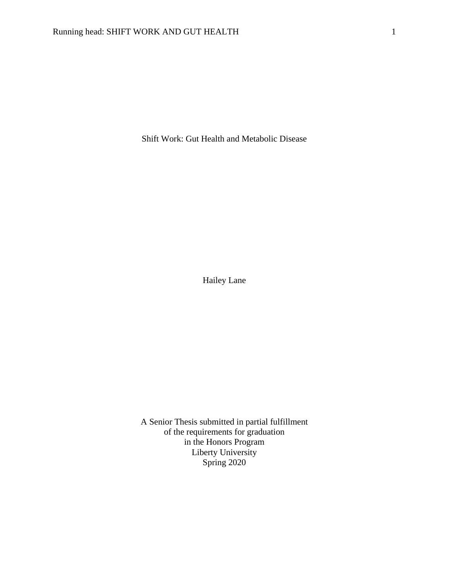Shift Work: Gut Health and Metabolic Disease

Hailey Lane

A Senior Thesis submitted in partial fulfillment of the requirements for graduation in the Honors Program Liberty University Spring 2020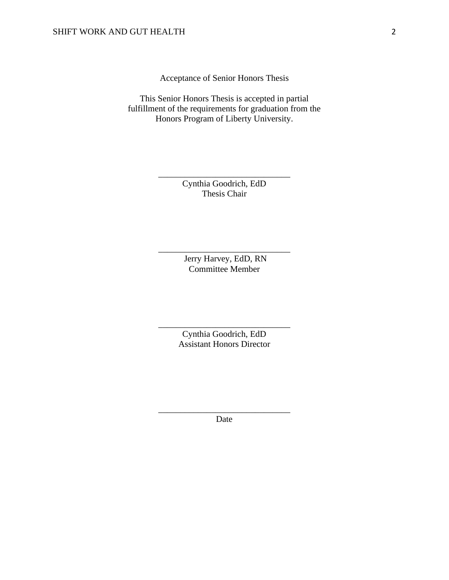Acceptance of Senior Honors Thesis

This Senior Honors Thesis is accepted in partial fulfillment of the requirements for graduation from the Honors Program of Liberty University.

> Cynthia Goodrich, EdD Thesis Chair

\_\_\_\_\_\_\_\_\_\_\_\_\_\_\_\_\_\_\_\_\_\_\_\_\_\_\_\_\_\_

Jerry Harvey, EdD, RN Committee Member

\_\_\_\_\_\_\_\_\_\_\_\_\_\_\_\_\_\_\_\_\_\_\_\_\_\_\_\_\_\_

Cynthia Goodrich, EdD Assistant Honors Director

\_\_\_\_\_\_\_\_\_\_\_\_\_\_\_\_\_\_\_\_\_\_\_\_\_\_\_\_\_\_

\_\_\_\_\_\_\_\_\_\_\_\_\_\_\_\_\_\_\_\_\_\_\_\_\_\_\_\_\_\_ Date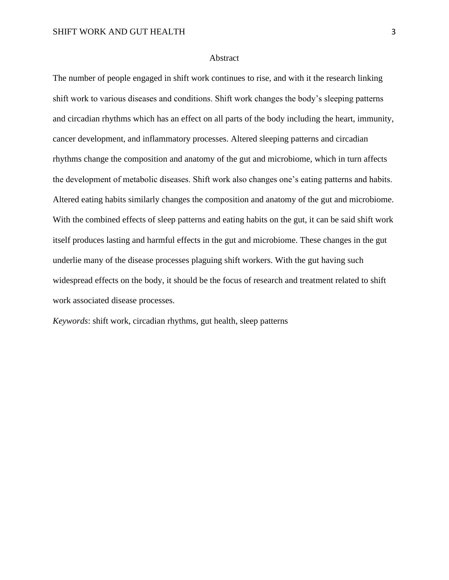#### Abstract

The number of people engaged in shift work continues to rise, and with it the research linking shift work to various diseases and conditions. Shift work changes the body's sleeping patterns and circadian rhythms which has an effect on all parts of the body including the heart, immunity, cancer development, and inflammatory processes. Altered sleeping patterns and circadian rhythms change the composition and anatomy of the gut and microbiome, which in turn affects the development of metabolic diseases. Shift work also changes one's eating patterns and habits. Altered eating habits similarly changes the composition and anatomy of the gut and microbiome. With the combined effects of sleep patterns and eating habits on the gut, it can be said shift work itself produces lasting and harmful effects in the gut and microbiome. These changes in the gut underlie many of the disease processes plaguing shift workers. With the gut having such widespread effects on the body, it should be the focus of research and treatment related to shift work associated disease processes.

*Keywords*: shift work, circadian rhythms, gut health, sleep patterns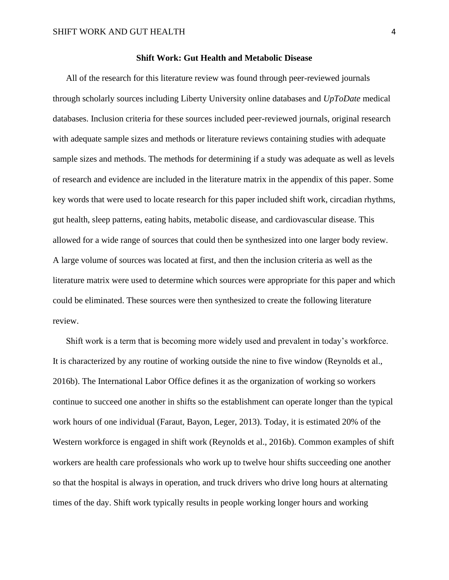#### **Shift Work: Gut Health and Metabolic Disease**

All of the research for this literature review was found through peer-reviewed journals through scholarly sources including Liberty University online databases and *UpToDate* medical databases. Inclusion criteria for these sources included peer-reviewed journals, original research with adequate sample sizes and methods or literature reviews containing studies with adequate sample sizes and methods. The methods for determining if a study was adequate as well as levels of research and evidence are included in the literature matrix in the appendix of this paper. Some key words that were used to locate research for this paper included shift work, circadian rhythms, gut health, sleep patterns, eating habits, metabolic disease, and cardiovascular disease. This allowed for a wide range of sources that could then be synthesized into one larger body review. A large volume of sources was located at first, and then the inclusion criteria as well as the literature matrix were used to determine which sources were appropriate for this paper and which could be eliminated. These sources were then synthesized to create the following literature review.

Shift work is a term that is becoming more widely used and prevalent in today's workforce. It is characterized by any routine of working outside the nine to five window (Reynolds et al., 2016b). The International Labor Office defines it as the organization of working so workers continue to succeed one another in shifts so the establishment can operate longer than the typical work hours of one individual (Faraut, Bayon, Leger, 2013). Today, it is estimated 20% of the Western workforce is engaged in shift work (Reynolds et al., 2016b). Common examples of shift workers are health care professionals who work up to twelve hour shifts succeeding one another so that the hospital is always in operation, and truck drivers who drive long hours at alternating times of the day. Shift work typically results in people working longer hours and working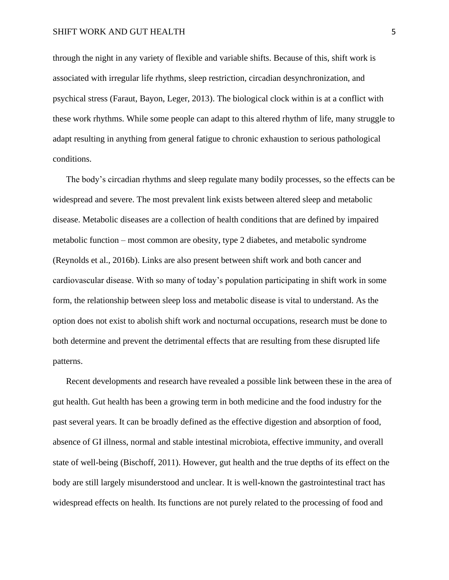through the night in any variety of flexible and variable shifts. Because of this, shift work is associated with irregular life rhythms, sleep restriction, circadian desynchronization, and psychical stress (Faraut, Bayon, Leger, 2013). The biological clock within is at a conflict with these work rhythms. While some people can adapt to this altered rhythm of life, many struggle to adapt resulting in anything from general fatigue to chronic exhaustion to serious pathological conditions.

The body's circadian rhythms and sleep regulate many bodily processes, so the effects can be widespread and severe. The most prevalent link exists between altered sleep and metabolic disease. Metabolic diseases are a collection of health conditions that are defined by impaired metabolic function – most common are obesity, type 2 diabetes, and metabolic syndrome (Reynolds et al., 2016b). Links are also present between shift work and both cancer and cardiovascular disease. With so many of today's population participating in shift work in some form, the relationship between sleep loss and metabolic disease is vital to understand. As the option does not exist to abolish shift work and nocturnal occupations, research must be done to both determine and prevent the detrimental effects that are resulting from these disrupted life patterns.

Recent developments and research have revealed a possible link between these in the area of gut health. Gut health has been a growing term in both medicine and the food industry for the past several years. It can be broadly defined as the effective digestion and absorption of food, absence of GI illness, normal and stable intestinal microbiota, effective immunity, and overall state of well-being (Bischoff, 2011). However, gut health and the true depths of its effect on the body are still largely misunderstood and unclear. It is well-known the gastrointestinal tract has widespread effects on health. Its functions are not purely related to the processing of food and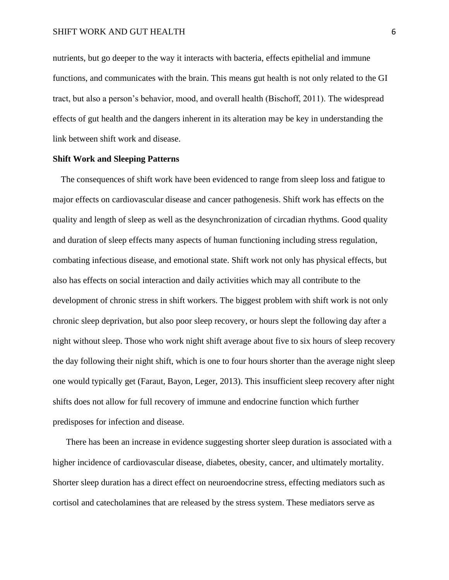nutrients, but go deeper to the way it interacts with bacteria, effects epithelial and immune functions, and communicates with the brain. This means gut health is not only related to the GI tract, but also a person's behavior, mood, and overall health (Bischoff, 2011). The widespread effects of gut health and the dangers inherent in its alteration may be key in understanding the link between shift work and disease.

### **Shift Work and Sleeping Patterns**

The consequences of shift work have been evidenced to range from sleep loss and fatigue to major effects on cardiovascular disease and cancer pathogenesis. Shift work has effects on the quality and length of sleep as well as the desynchronization of circadian rhythms. Good quality and duration of sleep effects many aspects of human functioning including stress regulation, combating infectious disease, and emotional state. Shift work not only has physical effects, but also has effects on social interaction and daily activities which may all contribute to the development of chronic stress in shift workers. The biggest problem with shift work is not only chronic sleep deprivation, but also poor sleep recovery, or hours slept the following day after a night without sleep. Those who work night shift average about five to six hours of sleep recovery the day following their night shift, which is one to four hours shorter than the average night sleep one would typically get (Faraut, Bayon, Leger, 2013). This insufficient sleep recovery after night shifts does not allow for full recovery of immune and endocrine function which further predisposes for infection and disease.

There has been an increase in evidence suggesting shorter sleep duration is associated with a higher incidence of cardiovascular disease, diabetes, obesity, cancer, and ultimately mortality. Shorter sleep duration has a direct effect on neuroendocrine stress, effecting mediators such as cortisol and catecholamines that are released by the stress system. These mediators serve as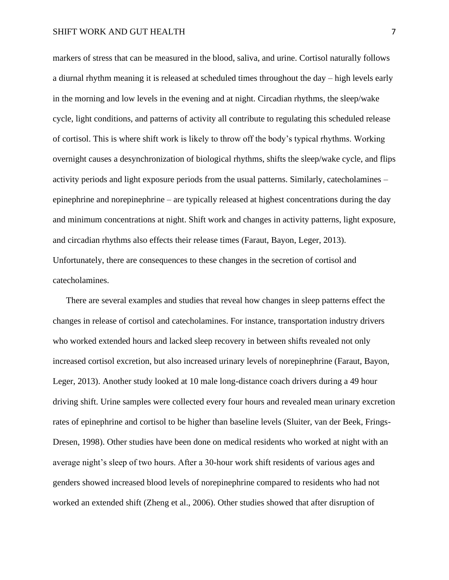markers of stress that can be measured in the blood, saliva, and urine. Cortisol naturally follows a diurnal rhythm meaning it is released at scheduled times throughout the day – high levels early in the morning and low levels in the evening and at night. Circadian rhythms, the sleep/wake cycle, light conditions, and patterns of activity all contribute to regulating this scheduled release of cortisol. This is where shift work is likely to throw off the body's typical rhythms. Working overnight causes a desynchronization of biological rhythms, shifts the sleep/wake cycle, and flips activity periods and light exposure periods from the usual patterns. Similarly, catecholamines – epinephrine and norepinephrine – are typically released at highest concentrations during the day and minimum concentrations at night. Shift work and changes in activity patterns, light exposure, and circadian rhythms also effects their release times (Faraut, Bayon, Leger, 2013). Unfortunately, there are consequences to these changes in the secretion of cortisol and catecholamines.

There are several examples and studies that reveal how changes in sleep patterns effect the changes in release of cortisol and catecholamines. For instance, transportation industry drivers who worked extended hours and lacked sleep recovery in between shifts revealed not only increased cortisol excretion, but also increased urinary levels of norepinephrine (Faraut, Bayon, Leger, 2013). Another study looked at 10 male long-distance coach drivers during a 49 hour driving shift. Urine samples were collected every four hours and revealed mean urinary excretion rates of epinephrine and cortisol to be higher than baseline levels (Sluiter, van der Beek, Frings-Dresen, 1998). Other studies have been done on medical residents who worked at night with an average night's sleep of two hours. After a 30-hour work shift residents of various ages and genders showed increased blood levels of norepinephrine compared to residents who had not worked an extended shift (Zheng et al., 2006). Other studies showed that after disruption of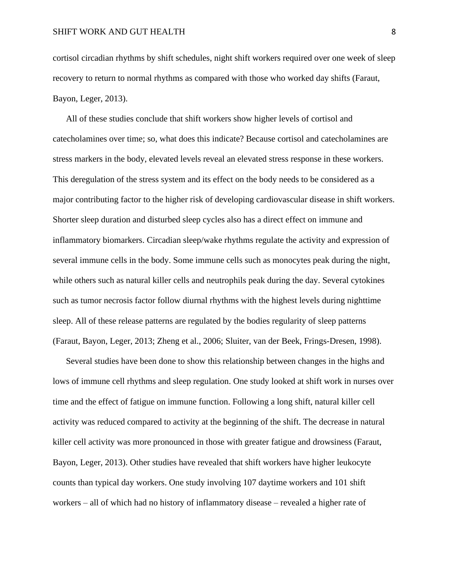cortisol circadian rhythms by shift schedules, night shift workers required over one week of sleep recovery to return to normal rhythms as compared with those who worked day shifts (Faraut, Bayon, Leger, 2013).

All of these studies conclude that shift workers show higher levels of cortisol and catecholamines over time; so, what does this indicate? Because cortisol and catecholamines are stress markers in the body, elevated levels reveal an elevated stress response in these workers. This deregulation of the stress system and its effect on the body needs to be considered as a major contributing factor to the higher risk of developing cardiovascular disease in shift workers. Shorter sleep duration and disturbed sleep cycles also has a direct effect on immune and inflammatory biomarkers. Circadian sleep/wake rhythms regulate the activity and expression of several immune cells in the body. Some immune cells such as monocytes peak during the night, while others such as natural killer cells and neutrophils peak during the day. Several cytokines such as tumor necrosis factor follow diurnal rhythms with the highest levels during nighttime sleep. All of these release patterns are regulated by the bodies regularity of sleep patterns (Faraut, Bayon, Leger, 2013; Zheng et al., 2006; Sluiter, van der Beek, Frings-Dresen, 1998).

Several studies have been done to show this relationship between changes in the highs and lows of immune cell rhythms and sleep regulation. One study looked at shift work in nurses over time and the effect of fatigue on immune function. Following a long shift, natural killer cell activity was reduced compared to activity at the beginning of the shift. The decrease in natural killer cell activity was more pronounced in those with greater fatigue and drowsiness (Faraut, Bayon, Leger, 2013). Other studies have revealed that shift workers have higher leukocyte counts than typical day workers. One study involving 107 daytime workers and 101 shift workers – all of which had no history of inflammatory disease – revealed a higher rate of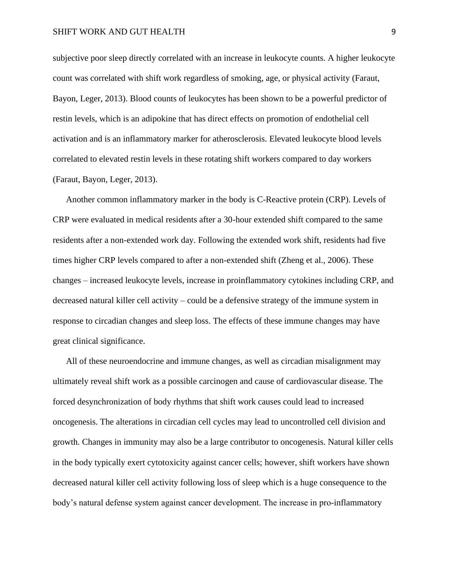subjective poor sleep directly correlated with an increase in leukocyte counts. A higher leukocyte count was correlated with shift work regardless of smoking, age, or physical activity (Faraut, Bayon, Leger, 2013). Blood counts of leukocytes has been shown to be a powerful predictor of restin levels, which is an adipokine that has direct effects on promotion of endothelial cell activation and is an inflammatory marker for atherosclerosis. Elevated leukocyte blood levels correlated to elevated restin levels in these rotating shift workers compared to day workers (Faraut, Bayon, Leger, 2013).

Another common inflammatory marker in the body is C-Reactive protein (CRP). Levels of CRP were evaluated in medical residents after a 30-hour extended shift compared to the same residents after a non-extended work day. Following the extended work shift, residents had five times higher CRP levels compared to after a non-extended shift (Zheng et al., 2006). These changes – increased leukocyte levels, increase in proinflammatory cytokines including CRP, and decreased natural killer cell activity – could be a defensive strategy of the immune system in response to circadian changes and sleep loss. The effects of these immune changes may have great clinical significance.

All of these neuroendocrine and immune changes, as well as circadian misalignment may ultimately reveal shift work as a possible carcinogen and cause of cardiovascular disease. The forced desynchronization of body rhythms that shift work causes could lead to increased oncogenesis. The alterations in circadian cell cycles may lead to uncontrolled cell division and growth. Changes in immunity may also be a large contributor to oncogenesis. Natural killer cells in the body typically exert cytotoxicity against cancer cells; however, shift workers have shown decreased natural killer cell activity following loss of sleep which is a huge consequence to the body's natural defense system against cancer development. The increase in pro-inflammatory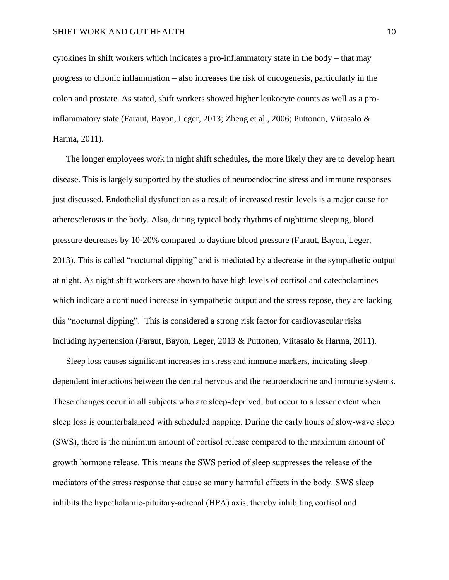cytokines in shift workers which indicates a pro-inflammatory state in the body – that may progress to chronic inflammation – also increases the risk of oncogenesis, particularly in the colon and prostate. As stated, shift workers showed higher leukocyte counts as well as a proinflammatory state (Faraut, Bayon, Leger, 2013; Zheng et al., 2006; Puttonen, Viitasalo & Harma, 2011).

The longer employees work in night shift schedules, the more likely they are to develop heart disease. This is largely supported by the studies of neuroendocrine stress and immune responses just discussed. Endothelial dysfunction as a result of increased restin levels is a major cause for atherosclerosis in the body. Also, during typical body rhythms of nighttime sleeping, blood pressure decreases by 10-20% compared to daytime blood pressure (Faraut, Bayon, Leger, 2013). This is called "nocturnal dipping" and is mediated by a decrease in the sympathetic output at night. As night shift workers are shown to have high levels of cortisol and catecholamines which indicate a continued increase in sympathetic output and the stress repose, they are lacking this "nocturnal dipping". This is considered a strong risk factor for cardiovascular risks including hypertension (Faraut, Bayon, Leger, 2013 & Puttonen, Viitasalo & Harma, 2011).

Sleep loss causes significant increases in stress and immune markers, indicating sleepdependent interactions between the central nervous and the neuroendocrine and immune systems. These changes occur in all subjects who are sleep-deprived, but occur to a lesser extent when sleep loss is counterbalanced with scheduled napping. During the early hours of slow-wave sleep (SWS), there is the minimum amount of cortisol release compared to the maximum amount of growth hormone release. This means the SWS period of sleep suppresses the release of the mediators of the stress response that cause so many harmful effects in the body. SWS sleep inhibits the hypothalamic-pituitary-adrenal (HPA) axis, thereby inhibiting cortisol and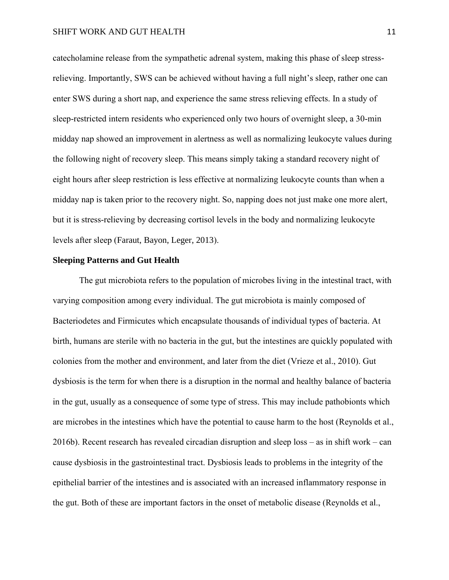catecholamine release from the sympathetic adrenal system, making this phase of sleep stressrelieving. Importantly, SWS can be achieved without having a full night's sleep, rather one can enter SWS during a short nap, and experience the same stress relieving effects. In a study of sleep-restricted intern residents who experienced only two hours of overnight sleep, a 30-min midday nap showed an improvement in alertness as well as normalizing leukocyte values during the following night of recovery sleep. This means simply taking a standard recovery night of eight hours after sleep restriction is less effective at normalizing leukocyte counts than when a midday nap is taken prior to the recovery night. So, napping does not just make one more alert, but it is stress-relieving by decreasing cortisol levels in the body and normalizing leukocyte levels after sleep (Faraut, Bayon, Leger, 2013).

#### **Sleeping Patterns and Gut Health**

The gut microbiota refers to the population of microbes living in the intestinal tract, with varying composition among every individual. The gut microbiota is mainly composed of Bacteriodetes and Firmicutes which encapsulate thousands of individual types of bacteria. At birth, humans are sterile with no bacteria in the gut, but the intestines are quickly populated with colonies from the mother and environment, and later from the diet (Vrieze et al., 2010). Gut dysbiosis is the term for when there is a disruption in the normal and healthy balance of bacteria in the gut, usually as a consequence of some type of stress. This may include pathobionts which are microbes in the intestines which have the potential to cause harm to the host (Reynolds et al., 2016b). Recent research has revealed circadian disruption and sleep loss – as in shift work – can cause dysbiosis in the gastrointestinal tract. Dysbiosis leads to problems in the integrity of the epithelial barrier of the intestines and is associated with an increased inflammatory response in the gut. Both of these are important factors in the onset of metabolic disease (Reynolds et al.,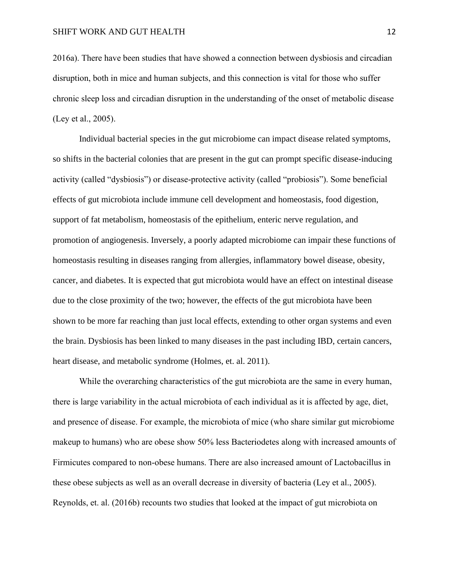2016a). There have been studies that have showed a connection between dysbiosis and circadian disruption, both in mice and human subjects, and this connection is vital for those who suffer chronic sleep loss and circadian disruption in the understanding of the onset of metabolic disease (Ley et al., 2005).

Individual bacterial species in the gut microbiome can impact disease related symptoms, so shifts in the bacterial colonies that are present in the gut can prompt specific disease-inducing activity (called "dysbiosis") or disease-protective activity (called "probiosis"). Some beneficial effects of gut microbiota include immune cell development and homeostasis, food digestion, support of fat metabolism, homeostasis of the epithelium, enteric nerve regulation, and promotion of angiogenesis. Inversely, a poorly adapted microbiome can impair these functions of homeostasis resulting in diseases ranging from allergies, inflammatory bowel disease, obesity, cancer, and diabetes. It is expected that gut microbiota would have an effect on intestinal disease due to the close proximity of the two; however, the effects of the gut microbiota have been shown to be more far reaching than just local effects, extending to other organ systems and even the brain. Dysbiosis has been linked to many diseases in the past including IBD, certain cancers, heart disease, and metabolic syndrome (Holmes, et. al. 2011).

While the overarching characteristics of the gut microbiota are the same in every human, there is large variability in the actual microbiota of each individual as it is affected by age, diet, and presence of disease. For example, the microbiota of mice (who share similar gut microbiome makeup to humans) who are obese show 50% less Bacteriodetes along with increased amounts of Firmicutes compared to non-obese humans. There are also increased amount of Lactobacillus in these obese subjects as well as an overall decrease in diversity of bacteria (Ley et al., 2005). Reynolds, et. al. (2016b) recounts two studies that looked at the impact of gut microbiota on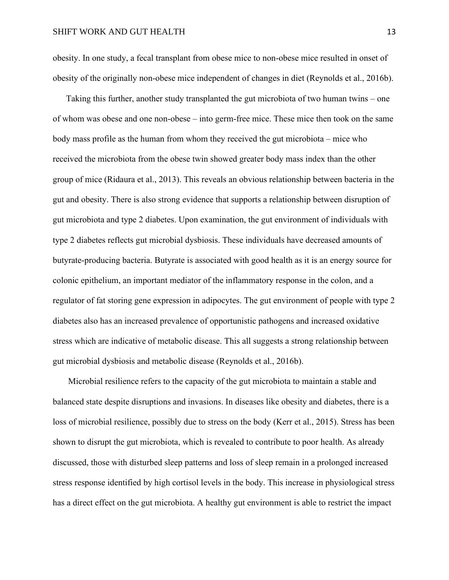obesity. In one study, a fecal transplant from obese mice to non-obese mice resulted in onset of obesity of the originally non-obese mice independent of changes in diet (Reynolds et al., 2016b).

Taking this further, another study transplanted the gut microbiota of two human twins – one of whom was obese and one non-obese – into germ-free mice. These mice then took on the same body mass profile as the human from whom they received the gut microbiota – mice who received the microbiota from the obese twin showed greater body mass index than the other group of mice (Ridaura et al., 2013). This reveals an obvious relationship between bacteria in the gut and obesity. There is also strong evidence that supports a relationship between disruption of gut microbiota and type 2 diabetes. Upon examination, the gut environment of individuals with type 2 diabetes reflects gut microbial dysbiosis. These individuals have decreased amounts of butyrate-producing bacteria. Butyrate is associated with good health as it is an energy source for colonic epithelium, an important mediator of the inflammatory response in the colon, and a regulator of fat storing gene expression in adipocytes. The gut environment of people with type 2 diabetes also has an increased prevalence of opportunistic pathogens and increased oxidative stress which are indicative of metabolic disease. This all suggests a strong relationship between gut microbial dysbiosis and metabolic disease (Reynolds et al., 2016b).

Microbial resilience refers to the capacity of the gut microbiota to maintain a stable and balanced state despite disruptions and invasions. In diseases like obesity and diabetes, there is a loss of microbial resilience, possibly due to stress on the body (Kerr et al., 2015). Stress has been shown to disrupt the gut microbiota, which is revealed to contribute to poor health. As already discussed, those with disturbed sleep patterns and loss of sleep remain in a prolonged increased stress response identified by high cortisol levels in the body. This increase in physiological stress has a direct effect on the gut microbiota. A healthy gut environment is able to restrict the impact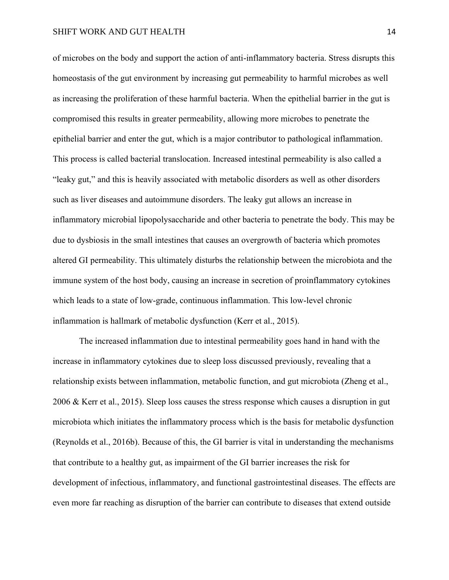of microbes on the body and support the action of anti-inflammatory bacteria. Stress disrupts this homeostasis of the gut environment by increasing gut permeability to harmful microbes as well as increasing the proliferation of these harmful bacteria. When the epithelial barrier in the gut is compromised this results in greater permeability, allowing more microbes to penetrate the epithelial barrier and enter the gut, which is a major contributor to pathological inflammation. This process is called bacterial translocation. Increased intestinal permeability is also called a "leaky gut," and this is heavily associated with metabolic disorders as well as other disorders such as liver diseases and autoimmune disorders. The leaky gut allows an increase in inflammatory microbial lipopolysaccharide and other bacteria to penetrate the body. This may be due to dysbiosis in the small intestines that causes an overgrowth of bacteria which promotes altered GI permeability. This ultimately disturbs the relationship between the microbiota and the immune system of the host body, causing an increase in secretion of proinflammatory cytokines which leads to a state of low-grade, continuous inflammation. This low-level chronic inflammation is hallmark of metabolic dysfunction (Kerr et al., 2015).

The increased inflammation due to intestinal permeability goes hand in hand with the increase in inflammatory cytokines due to sleep loss discussed previously, revealing that a relationship exists between inflammation, metabolic function, and gut microbiota (Zheng et al., 2006 & Kerr et al., 2015). Sleep loss causes the stress response which causes a disruption in gut microbiota which initiates the inflammatory process which is the basis for metabolic dysfunction (Reynolds et al., 2016b). Because of this, the GI barrier is vital in understanding the mechanisms that contribute to a healthy gut, as impairment of the GI barrier increases the risk for development of infectious, inflammatory, and functional gastrointestinal diseases. The effects are even more far reaching as disruption of the barrier can contribute to diseases that extend outside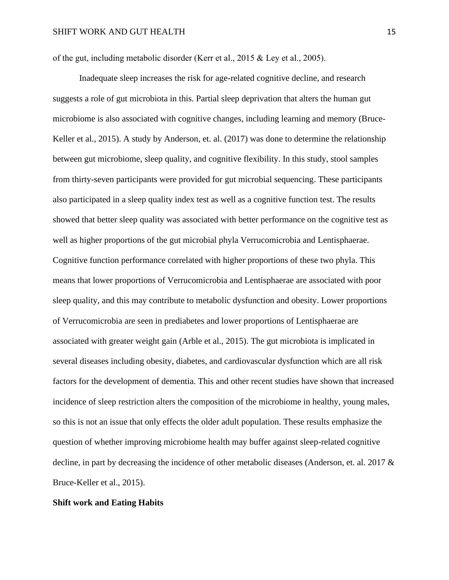of the gut, including metabolic disorder (Kerr et al., 2015 & Ley et al., 2005).

Inadequate sleep increases the risk for age-related cognitive decline, and research suggests a role of gut microbiota in this. Partial sleep deprivation that alters the human gut microbiome is also associated with cognitive changes, including learning and memory (Bruce-Keller et al., 2015). A study by Anderson, et. al. (2017) was done to determine the relationship between gut microbiome, sleep quality, and cognitive flexibility. In this study, stool samples from thirty-seven participants were provided for gut microbial sequencing. These participants also participated in a sleep quality index test as well as a cognitive function test. The results showed that better sleep quality was associated with better performance on the cognitive test as well as higher proportions of the gut microbial phyla Verrucomicrobia and Lentisphaerae. Cognitive function performance correlated with higher proportions of these two phyla. This means that lower proportions of Verrucomicrobia and Lentisphaerae are associated with poor sleep quality, and this may contribute to metabolic dysfunction and obesity. Lower proportions of Verrucomicrobia are seen in prediabetes and lower proportions of Lentisphaerae are associated with greater weight gain (Arble et al., 2015). The gut microbiota is implicated in several diseases including obesity, diabetes, and cardiovascular dysfunction which are all risk factors for the development of dementia. This and other recent studies have shown that increased incidence of sleep restriction alters the composition of the microbiome in healthy, young males, so this is not an issue that only effects the older adult population. These results emphasize the question of whether improving microbiome health may buffer against sleep-related cognitive decline, in part by decreasing the incidence of other metabolic diseases (Anderson, et. al. 2017 & Bruce-Keller et al., 2015).

### **Shift work and Eating Habits**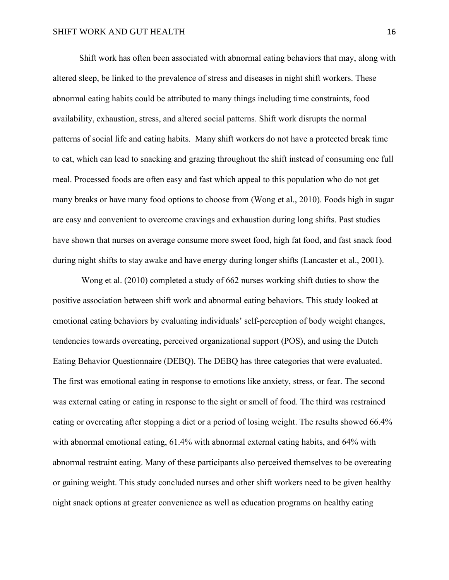Shift work has often been associated with abnormal eating behaviors that may, along with altered sleep, be linked to the prevalence of stress and diseases in night shift workers. These abnormal eating habits could be attributed to many things including time constraints, food availability, exhaustion, stress, and altered social patterns. Shift work disrupts the normal patterns of social life and eating habits. Many shift workers do not have a protected break time to eat, which can lead to snacking and grazing throughout the shift instead of consuming one full meal. Processed foods are often easy and fast which appeal to this population who do not get many breaks or have many food options to choose from (Wong et al., 2010). Foods high in sugar are easy and convenient to overcome cravings and exhaustion during long shifts. Past studies have shown that nurses on average consume more sweet food, high fat food, and fast snack food during night shifts to stay awake and have energy during longer shifts (Lancaster et al., 2001).

Wong et al. (2010) completed a study of 662 nurses working shift duties to show the positive association between shift work and abnormal eating behaviors. This study looked at emotional eating behaviors by evaluating individuals' self-perception of body weight changes, tendencies towards overeating, perceived organizational support (POS), and using the Dutch Eating Behavior Questionnaire (DEBQ). The DEBQ has three categories that were evaluated. The first was emotional eating in response to emotions like anxiety, stress, or fear. The second was external eating or eating in response to the sight or smell of food. The third was restrained eating or overeating after stopping a diet or a period of losing weight. The results showed 66.4% with abnormal emotional eating, 61.4% with abnormal external eating habits, and 64% with abnormal restraint eating. Many of these participants also perceived themselves to be overeating or gaining weight. This study concluded nurses and other shift workers need to be given healthy night snack options at greater convenience as well as education programs on healthy eating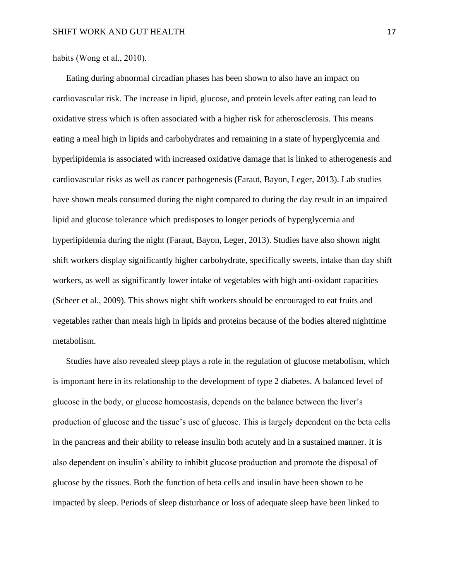habits (Wong et al., 2010).

Eating during abnormal circadian phases has been shown to also have an impact on cardiovascular risk. The increase in lipid, glucose, and protein levels after eating can lead to oxidative stress which is often associated with a higher risk for atherosclerosis. This means eating a meal high in lipids and carbohydrates and remaining in a state of hyperglycemia and hyperlipidemia is associated with increased oxidative damage that is linked to atherogenesis and cardiovascular risks as well as cancer pathogenesis (Faraut, Bayon, Leger, 2013). Lab studies have shown meals consumed during the night compared to during the day result in an impaired lipid and glucose tolerance which predisposes to longer periods of hyperglycemia and hyperlipidemia during the night (Faraut, Bayon, Leger, 2013). Studies have also shown night shift workers display significantly higher carbohydrate, specifically sweets, intake than day shift workers, as well as significantly lower intake of vegetables with high anti-oxidant capacities (Scheer et al., 2009). This shows night shift workers should be encouraged to eat fruits and vegetables rather than meals high in lipids and proteins because of the bodies altered nighttime metabolism.

Studies have also revealed sleep plays a role in the regulation of glucose metabolism, which is important here in its relationship to the development of type 2 diabetes. A balanced level of glucose in the body, or glucose homeostasis, depends on the balance between the liver's production of glucose and the tissue's use of glucose. This is largely dependent on the beta cells in the pancreas and their ability to release insulin both acutely and in a sustained manner. It is also dependent on insulin's ability to inhibit glucose production and promote the disposal of glucose by the tissues. Both the function of beta cells and insulin have been shown to be impacted by sleep. Periods of sleep disturbance or loss of adequate sleep have been linked to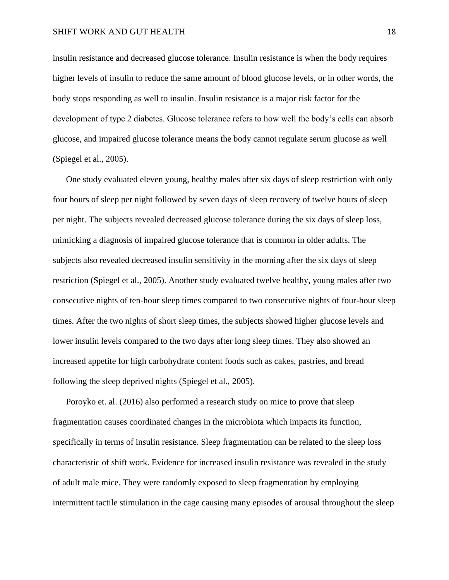insulin resistance and decreased glucose tolerance. Insulin resistance is when the body requires higher levels of insulin to reduce the same amount of blood glucose levels, or in other words, the body stops responding as well to insulin. Insulin resistance is a major risk factor for the development of type 2 diabetes. Glucose tolerance refers to how well the body's cells can absorb glucose, and impaired glucose tolerance means the body cannot regulate serum glucose as well (Spiegel et al., 2005).

One study evaluated eleven young, healthy males after six days of sleep restriction with only four hours of sleep per night followed by seven days of sleep recovery of twelve hours of sleep per night. The subjects revealed decreased glucose tolerance during the six days of sleep loss, mimicking a diagnosis of impaired glucose tolerance that is common in older adults. The subjects also revealed decreased insulin sensitivity in the morning after the six days of sleep restriction (Spiegel et al., 2005). Another study evaluated twelve healthy, young males after two consecutive nights of ten-hour sleep times compared to two consecutive nights of four-hour sleep times. After the two nights of short sleep times, the subjects showed higher glucose levels and lower insulin levels compared to the two days after long sleep times. They also showed an increased appetite for high carbohydrate content foods such as cakes, pastries, and bread following the sleep deprived nights (Spiegel et al., 2005).

Poroyko et. al. (2016) also performed a research study on mice to prove that sleep fragmentation causes coordinated changes in the microbiota which impacts its function, specifically in terms of insulin resistance. Sleep fragmentation can be related to the sleep loss characteristic of shift work. Evidence for increased insulin resistance was revealed in the study of adult male mice. They were randomly exposed to sleep fragmentation by employing intermittent tactile stimulation in the cage causing many episodes of arousal throughout the sleep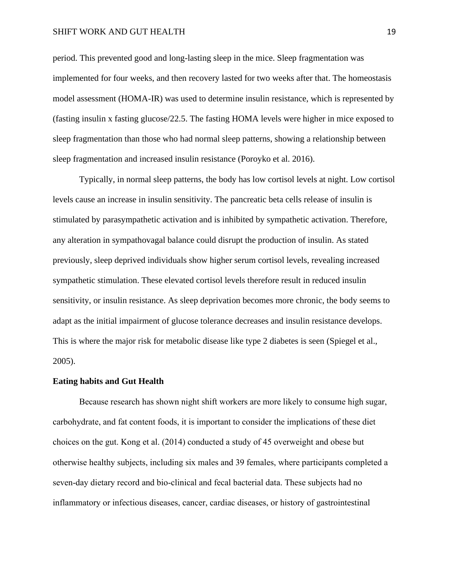period. This prevented good and long-lasting sleep in the mice. Sleep fragmentation was implemented for four weeks, and then recovery lasted for two weeks after that. The homeostasis model assessment (HOMA-IR) was used to determine insulin resistance, which is represented by (fasting insulin x fasting glucose/22.5. The fasting HOMA levels were higher in mice exposed to sleep fragmentation than those who had normal sleep patterns, showing a relationship between sleep fragmentation and increased insulin resistance (Poroyko et al. 2016).

Typically, in normal sleep patterns, the body has low cortisol levels at night. Low cortisol levels cause an increase in insulin sensitivity. The pancreatic beta cells release of insulin is stimulated by parasympathetic activation and is inhibited by sympathetic activation. Therefore, any alteration in sympathovagal balance could disrupt the production of insulin. As stated previously, sleep deprived individuals show higher serum cortisol levels, revealing increased sympathetic stimulation. These elevated cortisol levels therefore result in reduced insulin sensitivity, or insulin resistance. As sleep deprivation becomes more chronic, the body seems to adapt as the initial impairment of glucose tolerance decreases and insulin resistance develops. This is where the major risk for metabolic disease like type 2 diabetes is seen (Spiegel et al., 2005).

## **Eating habits and Gut Health**

Because research has shown night shift workers are more likely to consume high sugar, carbohydrate, and fat content foods, it is important to consider the implications of these diet choices on the gut. Kong et al. (2014) conducted a study of 45 overweight and obese but otherwise healthy subjects, including six males and 39 females, where participants completed a seven-day dietary record and bio-clinical and fecal bacterial data. These subjects had no inflammatory or infectious diseases, cancer, cardiac diseases, or history of gastrointestinal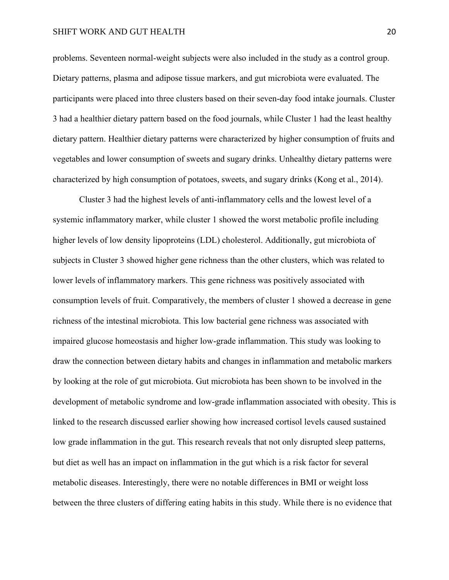problems. Seventeen normal-weight subjects were also included in the study as a control group. Dietary patterns, plasma and adipose tissue markers, and gut microbiota were evaluated. The participants were placed into three clusters based on their seven-day food intake journals. Cluster 3 had a healthier dietary pattern based on the food journals, while Cluster 1 had the least healthy dietary pattern. Healthier dietary patterns were characterized by higher consumption of fruits and vegetables and lower consumption of sweets and sugary drinks. Unhealthy dietary patterns were characterized by high consumption of potatoes, sweets, and sugary drinks (Kong et al., 2014).

Cluster 3 had the highest levels of anti-inflammatory cells and the lowest level of a systemic inflammatory marker, while cluster 1 showed the worst metabolic profile including higher levels of low density lipoproteins (LDL) cholesterol. Additionally, gut microbiota of subjects in Cluster 3 showed higher gene richness than the other clusters, which was related to lower levels of inflammatory markers. This gene richness was positively associated with consumption levels of fruit. Comparatively, the members of cluster 1 showed a decrease in gene richness of the intestinal microbiota. This low bacterial gene richness was associated with impaired glucose homeostasis and higher low-grade inflammation. This study was looking to draw the connection between dietary habits and changes in inflammation and metabolic markers by looking at the role of gut microbiota. Gut microbiota has been shown to be involved in the development of metabolic syndrome and low-grade inflammation associated with obesity. This is linked to the research discussed earlier showing how increased cortisol levels caused sustained low grade inflammation in the gut. This research reveals that not only disrupted sleep patterns, but diet as well has an impact on inflammation in the gut which is a risk factor for several metabolic diseases. Interestingly, there were no notable differences in BMI or weight loss between the three clusters of differing eating habits in this study. While there is no evidence that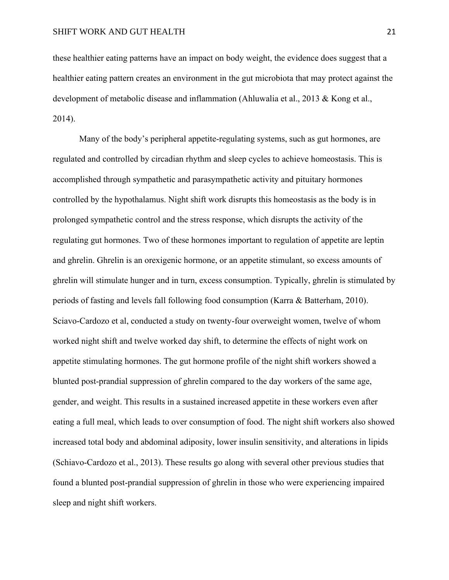these healthier eating patterns have an impact on body weight, the evidence does suggest that a healthier eating pattern creates an environment in the gut microbiota that may protect against the development of metabolic disease and inflammation (Ahluwalia et al., 2013 & Kong et al., 2014).

Many of the body's peripheral appetite-regulating systems, such as gut hormones, are regulated and controlled by circadian rhythm and sleep cycles to achieve homeostasis. This is accomplished through sympathetic and parasympathetic activity and pituitary hormones controlled by the hypothalamus. Night shift work disrupts this homeostasis as the body is in prolonged sympathetic control and the stress response, which disrupts the activity of the regulating gut hormones. Two of these hormones important to regulation of appetite are leptin and ghrelin. Ghrelin is an orexigenic hormone, or an appetite stimulant, so excess amounts of ghrelin will stimulate hunger and in turn, excess consumption. Typically, ghrelin is stimulated by periods of fasting and levels fall following food consumption (Karra & Batterham, 2010). Sciavo-Cardozo et al, conducted a study on twenty-four overweight women, twelve of whom worked night shift and twelve worked day shift, to determine the effects of night work on appetite stimulating hormones. The gut hormone profile of the night shift workers showed a blunted post-prandial suppression of ghrelin compared to the day workers of the same age, gender, and weight. This results in a sustained increased appetite in these workers even after eating a full meal, which leads to over consumption of food. The night shift workers also showed increased total body and abdominal adiposity, lower insulin sensitivity, and alterations in lipids (Schiavo-Cardozo et al., 2013). These results go along with several other previous studies that found a blunted post-prandial suppression of ghrelin in those who were experiencing impaired sleep and night shift workers.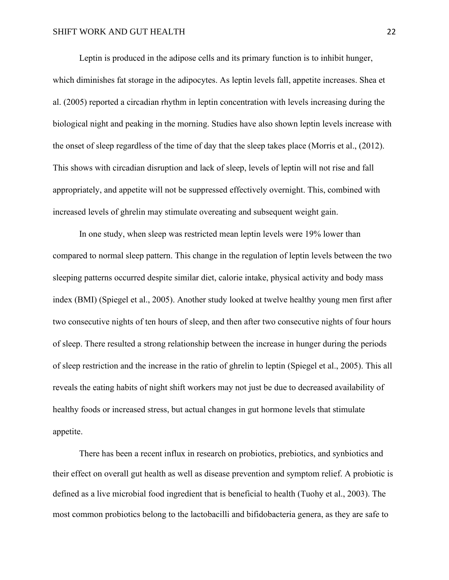Leptin is produced in the adipose cells and its primary function is to inhibit hunger, which diminishes fat storage in the adipocytes. As leptin levels fall, appetite increases. Shea et al. (2005) reported a circadian rhythm in leptin concentration with levels increasing during the biological night and peaking in the morning. Studies have also shown leptin levels increase with the onset of sleep regardless of the time of day that the sleep takes place (Morris et al., (2012). This shows with circadian disruption and lack of sleep, levels of leptin will not rise and fall appropriately, and appetite will not be suppressed effectively overnight. This, combined with increased levels of ghrelin may stimulate overeating and subsequent weight gain.

In one study, when sleep was restricted mean leptin levels were 19% lower than compared to normal sleep pattern. This change in the regulation of leptin levels between the two sleeping patterns occurred despite similar diet, calorie intake, physical activity and body mass index (BMI) (Spiegel et al., 2005). Another study looked at twelve healthy young men first after two consecutive nights of ten hours of sleep, and then after two consecutive nights of four hours of sleep. There resulted a strong relationship between the increase in hunger during the periods of sleep restriction and the increase in the ratio of ghrelin to leptin (Spiegel et al., 2005). This all reveals the eating habits of night shift workers may not just be due to decreased availability of healthy foods or increased stress, but actual changes in gut hormone levels that stimulate appetite.

There has been a recent influx in research on probiotics, prebiotics, and synbiotics and their effect on overall gut health as well as disease prevention and symptom relief. A probiotic is defined as a live microbial food ingredient that is beneficial to health (Tuohy et al., 2003). The most common probiotics belong to the lactobacilli and bifidobacteria genera, as they are safe to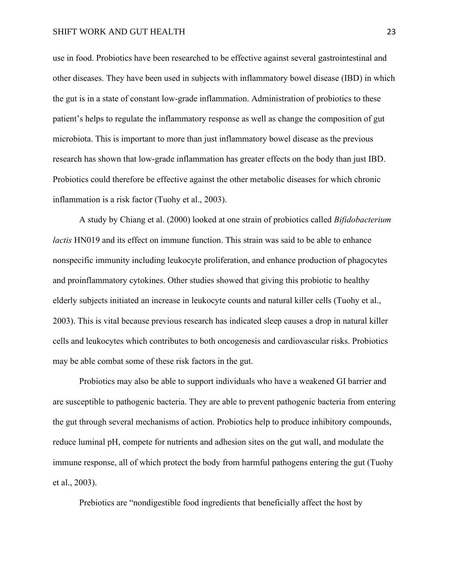use in food. Probiotics have been researched to be effective against several gastrointestinal and other diseases. They have been used in subjects with inflammatory bowel disease (IBD) in which the gut is in a state of constant low-grade inflammation. Administration of probiotics to these patient's helps to regulate the inflammatory response as well as change the composition of gut microbiota. This is important to more than just inflammatory bowel disease as the previous research has shown that low-grade inflammation has greater effects on the body than just IBD. Probiotics could therefore be effective against the other metabolic diseases for which chronic inflammation is a risk factor (Tuohy et al., 2003).

A study by Chiang et al. (2000) looked at one strain of probiotics called *Bifidobacterium lactis* HN019 and its effect on immune function. This strain was said to be able to enhance nonspecific immunity including leukocyte proliferation, and enhance production of phagocytes and proinflammatory cytokines. Other studies showed that giving this probiotic to healthy elderly subjects initiated an increase in leukocyte counts and natural killer cells (Tuohy et al., 2003). This is vital because previous research has indicated sleep causes a drop in natural killer cells and leukocytes which contributes to both oncogenesis and cardiovascular risks. Probiotics may be able combat some of these risk factors in the gut.

Probiotics may also be able to support individuals who have a weakened GI barrier and are susceptible to pathogenic bacteria. They are able to prevent pathogenic bacteria from entering the gut through several mechanisms of action. Probiotics help to produce inhibitory compounds, reduce luminal pH, compete for nutrients and adhesion sites on the gut wall, and modulate the immune response, all of which protect the body from harmful pathogens entering the gut (Tuohy et al., 2003).

Prebiotics are "nondigestible food ingredients that beneficially affect the host by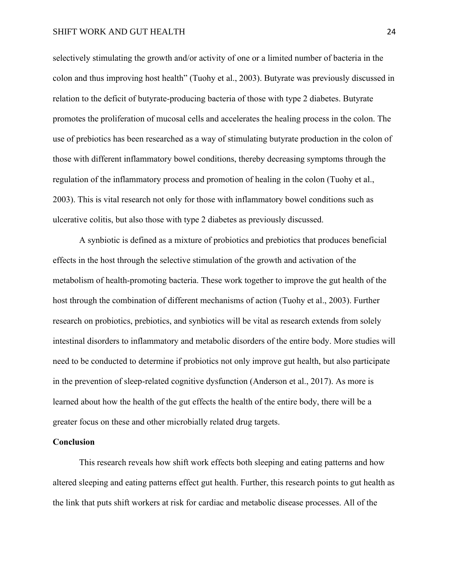selectively stimulating the growth and/or activity of one or a limited number of bacteria in the colon and thus improving host health" (Tuohy et al., 2003). Butyrate was previously discussed in relation to the deficit of butyrate-producing bacteria of those with type 2 diabetes. Butyrate promotes the proliferation of mucosal cells and accelerates the healing process in the colon. The use of prebiotics has been researched as a way of stimulating butyrate production in the colon of those with different inflammatory bowel conditions, thereby decreasing symptoms through the regulation of the inflammatory process and promotion of healing in the colon (Tuohy et al., 2003). This is vital research not only for those with inflammatory bowel conditions such as ulcerative colitis, but also those with type 2 diabetes as previously discussed.

A synbiotic is defined as a mixture of probiotics and prebiotics that produces beneficial effects in the host through the selective stimulation of the growth and activation of the metabolism of health-promoting bacteria. These work together to improve the gut health of the host through the combination of different mechanisms of action (Tuohy et al., 2003). Further research on probiotics, prebiotics, and synbiotics will be vital as research extends from solely intestinal disorders to inflammatory and metabolic disorders of the entire body. More studies will need to be conducted to determine if probiotics not only improve gut health, but also participate in the prevention of sleep-related cognitive dysfunction (Anderson et al., 2017). As more is learned about how the health of the gut effects the health of the entire body, there will be a greater focus on these and other microbially related drug targets.

# **Conclusion**

This research reveals how shift work effects both sleeping and eating patterns and how altered sleeping and eating patterns effect gut health. Further, this research points to gut health as the link that puts shift workers at risk for cardiac and metabolic disease processes. All of the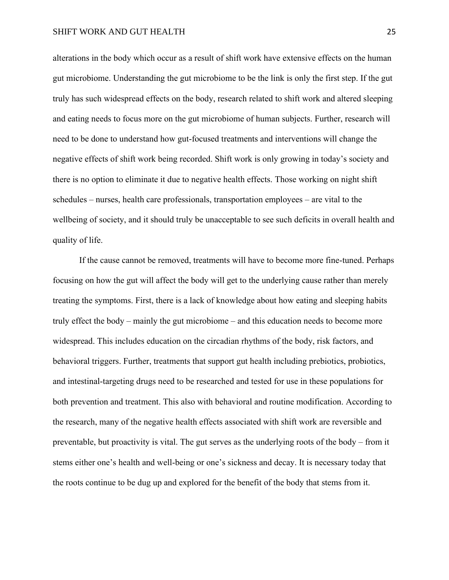alterations in the body which occur as a result of shift work have extensive effects on the human gut microbiome. Understanding the gut microbiome to be the link is only the first step. If the gut truly has such widespread effects on the body, research related to shift work and altered sleeping and eating needs to focus more on the gut microbiome of human subjects. Further, research will need to be done to understand how gut-focused treatments and interventions will change the negative effects of shift work being recorded. Shift work is only growing in today's society and there is no option to eliminate it due to negative health effects. Those working on night shift schedules – nurses, health care professionals, transportation employees – are vital to the wellbeing of society, and it should truly be unacceptable to see such deficits in overall health and quality of life.

If the cause cannot be removed, treatments will have to become more fine-tuned. Perhaps focusing on how the gut will affect the body will get to the underlying cause rather than merely treating the symptoms. First, there is a lack of knowledge about how eating and sleeping habits truly effect the body – mainly the gut microbiome – and this education needs to become more widespread. This includes education on the circadian rhythms of the body, risk factors, and behavioral triggers. Further, treatments that support gut health including prebiotics, probiotics, and intestinal-targeting drugs need to be researched and tested for use in these populations for both prevention and treatment. This also with behavioral and routine modification. According to the research, many of the negative health effects associated with shift work are reversible and preventable, but proactivity is vital. The gut serves as the underlying roots of the body – from it stems either one's health and well-being or one's sickness and decay. It is necessary today that the roots continue to be dug up and explored for the benefit of the body that stems from it.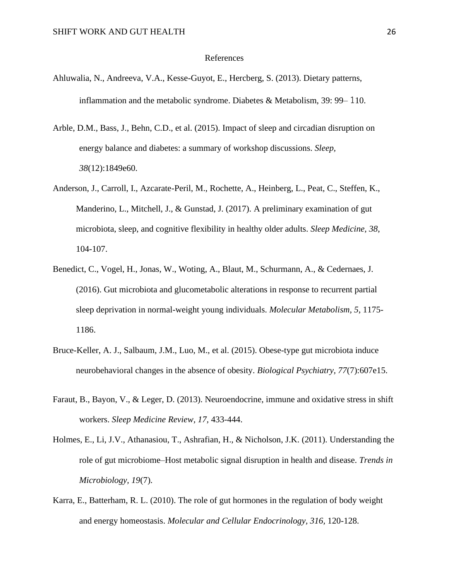#### References

- Ahluwalia, N., Andreeva, V.A., Kesse-Guyot, E., Hercberg, S. (2013). Dietary patterns, inflammation and the metabolic syndrome. Diabetes & Metabolism, 39: 99– 110.
- Arble, D.M., Bass, J., Behn, C.D., et al. (2015). Impact of sleep and circadian disruption on energy balance and diabetes: a summary of workshop discussions. *Sleep, 38*(12):1849e60.
- Anderson, J., Carroll, I., Azcarate-Peril, M., Rochette, A., Heinberg, L., Peat, C., Steffen, K., Manderino, L., Mitchell, J., & Gunstad, J. (2017). A preliminary examination of gut microbiota, sleep, and cognitive flexibility in healthy older adults. *Sleep Medicine, 38*, 104-107.
- Benedict, C., Vogel, H., Jonas, W., Woting, A., Blaut, M., Schurmann, A., & Cedernaes, J. (2016). Gut microbiota and glucometabolic alterations in response to recurrent partial sleep deprivation in normal-weight young individuals. *Molecular Metabolism, 5*, 1175- 1186.
- Bruce-Keller, A. J., Salbaum, J.M., Luo, M., et al. (2015). Obese-type gut microbiota induce neurobehavioral changes in the absence of obesity. *Biological Psychiatry, 77*(7):607e15.
- Faraut, B., Bayon, V., & Leger, D. (2013). Neuroendocrine, immune and oxidative stress in shift workers. *Sleep Medicine Review, 17,* 433-444.
- Holmes, E., Li, J.V., Athanasiou, T., Ashrafian, H., & Nicholson, J.K. (2011). Understanding the role of gut microbiome–Host metabolic signal disruption in health and disease. *Trends in Microbiology, 19*(7).
- Karra, E., Batterham, R. L. (2010). The role of gut hormones in the regulation of body weight and energy homeostasis. *Molecular and Cellular Endocrinology, 316,* 120-128.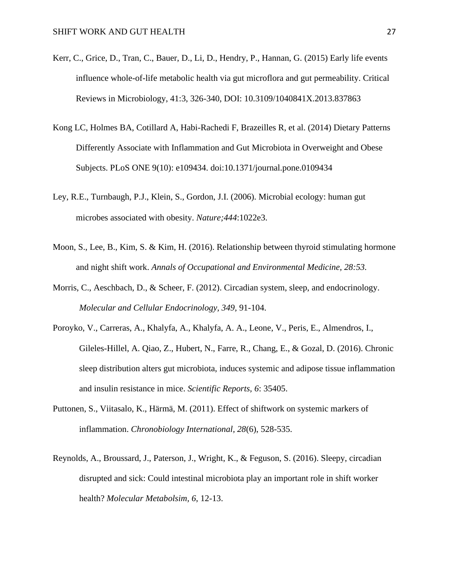- Kerr, C., Grice, D., Tran, C., Bauer, D., Li, D., Hendry, P., Hannan, G. (2015) Early life events influence whole-of-life metabolic health via gut microflora and gut permeability. Critical Reviews in Microbiology, 41:3, 326-340, DOI: 10.3109/1040841X.2013.837863
- Kong LC, Holmes BA, Cotillard A, Habi-Rachedi F, Brazeilles R, et al. (2014) Dietary Patterns Differently Associate with Inflammation and Gut Microbiota in Overweight and Obese Subjects. PLoS ONE 9(10): e109434. doi:10.1371/journal.pone.0109434
- Ley, R.E., Turnbaugh, P.J., Klein, S., Gordon, J.I. (2006). Microbial ecology: human gut microbes associated with obesity. *Nature;444*:1022e3.
- Moon, S., Lee, B., Kim, S. & Kim, H. (2016). Relationship between thyroid stimulating hormone and night shift work. *Annals of Occupational and Environmental Medicine, 28:53.*
- Morris, C., Aeschbach, D., & Scheer, F. (2012). Circadian system, sleep, and endocrinology. *Molecular and Cellular Endocrinology, 349,* 91-104.
- Poroyko, V., Carreras, A., Khalyfa, A., Khalyfa, A. A., Leone, V., Peris, E., Almendros, I., Gileles-Hillel, A. Qiao, Z., Hubert, N., Farre, R., Chang, E., & Gozal, D. (2016). Chronic sleep distribution alters gut microbiota, induces systemic and adipose tissue inflammation and insulin resistance in mice. *Scientific Reports, 6*: 35405.
- Puttonen, S., Viitasalo, K., Härmä, M. (2011). Effect of shiftwork on systemic markers of inflammation. *Chronobiology International, 28*(6), 528-535.
- Reynolds, A., Broussard, J., Paterson, J., Wright, K., & Feguson, S. (2016). Sleepy, circadian disrupted and sick: Could intestinal microbiota play an important role in shift worker health? *Molecular Metabolsim, 6*, 12-13.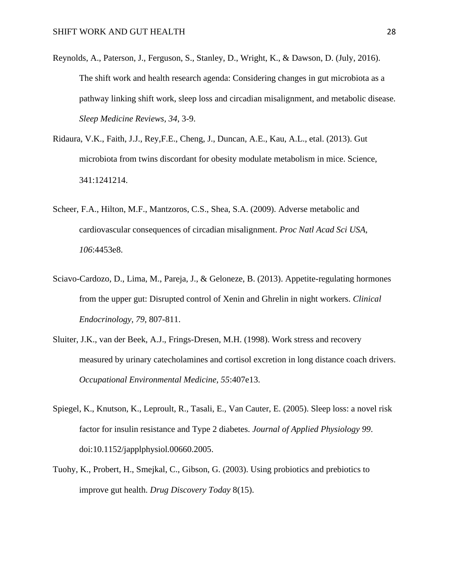- Reynolds, A., Paterson, J., Ferguson, S., Stanley, D., Wright, K., & Dawson, D. (July, 2016). The shift work and health research agenda: Considering changes in gut microbiota as a pathway linking shift work, sleep loss and circadian misalignment, and metabolic disease*. Sleep Medicine Reviews, 34*, 3-9.
- Ridaura, V.K., Faith, J.J., Rey,F.E., Cheng, J., Duncan, A.E., Kau, A.L., etal. (2013). Gut microbiota from twins discordant for obesity modulate metabolism in mice. Science, 341:1241214.
- Scheer, F.A., Hilton, M.F., Mantzoros, C.S., Shea, S.A. (2009). Adverse metabolic and cardiovascular consequences of circadian misalignment. *Proc Natl Acad Sci USA, 106*:4453e8.
- Sciavo-Cardozo, D., Lima, M., Pareja, J., & Geloneze, B. (2013). Appetite-regulating hormones from the upper gut: Disrupted control of Xenin and Ghrelin in night workers. *Clinical Endocrinology, 79*, 807-811.
- Sluiter, J.K., van der Beek, A.J., Frings-Dresen, M.H. (1998). Work stress and recovery measured by urinary catecholamines and cortisol excretion in long distance coach drivers. *Occupational Environmental Medicine, 55*:407e13.
- Spiegel, K., Knutson, K., Leproult, R., Tasali, E., Van Cauter, E. (2005). Sleep loss: a novel risk factor for insulin resistance and Type 2 diabetes. *Journal of Applied Physiology 99*. doi:10.1152/japplphysiol.00660.2005.
- Tuohy, K., Probert, H., Smejkal, C., Gibson, G. (2003). Using probiotics and prebiotics to improve gut health. *Drug Discovery Today* 8(15).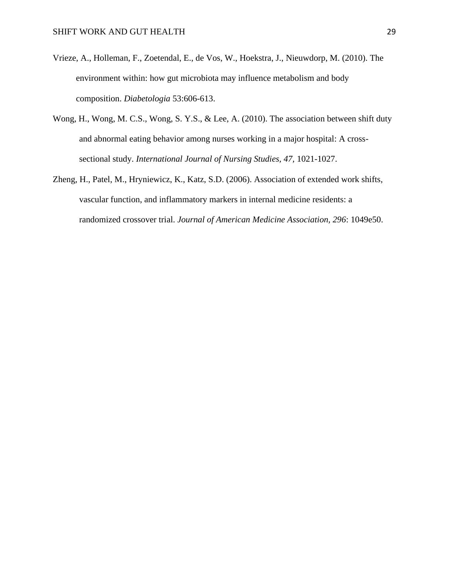- Vrieze, A., Holleman, F., Zoetendal, E., de Vos, W., Hoekstra, J., Nieuwdorp, M. (2010). The environment within: how gut microbiota may influence metabolism and body composition. *Diabetologia* 53:606-613.
- Wong, H., Wong, M. C.S., Wong, S. Y.S., & Lee, A. (2010). The association between shift duty and abnormal eating behavior among nurses working in a major hospital: A crosssectional study. *International Journal of Nursing Studies, 47,* 1021-1027.
- Zheng, H., Patel, M., Hryniewicz, K., Katz, S.D. (2006). Association of extended work shifts, vascular function, and inflammatory markers in internal medicine residents: a randomized crossover trial. *Journal of American Medicine Association, 296*: 1049e50.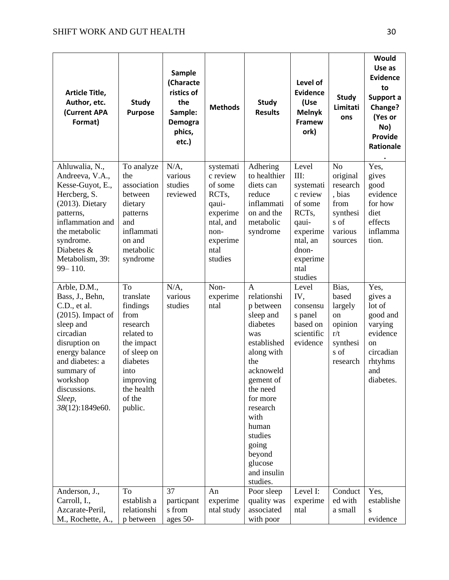| Article Title,<br>Author, etc.<br>(Current APA<br>Format)                                                                                                                                                                      | <b>Study</b><br><b>Purpose</b>                                                                                                                                 | <b>Sample</b><br>(Characte<br>ristics of<br>the<br>Sample:<br>Demogra<br>phics,<br>etc.) | <b>Methods</b>                                                                                                                  | <b>Study</b><br><b>Results</b>                                                                                                                                                                                                                                  | Level of<br><b>Evidence</b><br>(Use<br><b>Melnyk</b><br>Framew<br>ork)                                                                           | <b>Study</b><br>Limitati<br>ons                                                                    | Would<br>Use as<br><b>Evidence</b><br>to<br>Support a<br>Change?<br>(Yes or<br>No)<br><b>Provide</b><br>Rationale |
|--------------------------------------------------------------------------------------------------------------------------------------------------------------------------------------------------------------------------------|----------------------------------------------------------------------------------------------------------------------------------------------------------------|------------------------------------------------------------------------------------------|---------------------------------------------------------------------------------------------------------------------------------|-----------------------------------------------------------------------------------------------------------------------------------------------------------------------------------------------------------------------------------------------------------------|--------------------------------------------------------------------------------------------------------------------------------------------------|----------------------------------------------------------------------------------------------------|-------------------------------------------------------------------------------------------------------------------|
| Ahluwalia, N.,<br>Andreeva, V.A.,<br>Kesse-Guyot, E.,<br>Hercberg, S.<br>$(2013)$ . Dietary<br>patterns,<br>inflammation and<br>the metabolic<br>syndrome.<br>Diabetes &<br>Metabolism, 39:<br>99-110.                         | To analyze<br>the<br>association<br>between<br>dietary<br>patterns<br>and<br>inflammati<br>on and<br>metabolic<br>syndrome                                     | N/A,<br>various<br>studies<br>reviewed                                                   | systemati<br>c review<br>of some<br>RCT <sub>s</sub> ,<br>qaui-<br>experime<br>ntal, and<br>non-<br>experime<br>ntal<br>studies | Adhering<br>to healthier<br>diets can<br>reduce<br>inflammati<br>on and the<br>metabolic<br>syndrome                                                                                                                                                            | Level<br>III:<br>systemati<br>c review<br>of some<br>RCT <sub>s</sub> ,<br>qaui-<br>experime<br>ntal, an<br>dnon-<br>experime<br>ntal<br>studies | N <sub>o</sub><br>original<br>research<br>, bias<br>from<br>synthesi<br>s of<br>various<br>sources | Yes,<br>gives<br>good<br>evidence<br>for how<br>diet<br>effects<br>inflamma<br>tion.                              |
| Arble, D.M.,<br>Bass, J., Behn,<br>C.D., et al.<br>$(2015)$ . Impact of<br>sleep and<br>circadian<br>disruption on<br>energy balance<br>and diabetes: a<br>summary of<br>workshop<br>discussions.<br>Sleep,<br>38(12):1849e60. | To<br>translate<br>findings<br>from<br>research<br>related to<br>the impact<br>of sleep on<br>diabetes<br>into<br>improving<br>the health<br>of the<br>public. | $N/A$ ,<br>various<br>studies                                                            | Non-<br>experime<br>ntal                                                                                                        | $\mathbf{A}$<br>relationshi<br>p between<br>sleep and<br>diabetes<br>was<br>established<br>along with<br>the<br>acknoweld<br>gement of<br>the need<br>for more<br>research<br>with<br>human<br>studies<br>going<br>beyond<br>glucose<br>and insulin<br>studies. | Level<br>IV,<br>consensu<br>s panel<br>based on<br>scientific<br>evidence                                                                        | Bias,<br>based<br>largely<br>on<br>opinion<br>r/t<br>synthesi<br>s of<br>research                  | Yes,<br>gives a<br>lot of<br>good and<br>varying<br>evidence<br>on<br>circadian<br>rhtyhms<br>and<br>diabetes.    |
| Anderson, J.,<br>Carroll, I.,<br>Azcarate-Peril,<br>M., Rochette, A.,                                                                                                                                                          | To<br>establish a<br>relationshi<br>p between                                                                                                                  | 37<br>particpant<br>s from<br>ages 50-                                                   | An<br>experime<br>ntal study                                                                                                    | Poor sleep<br>quality was<br>associated<br>with poor                                                                                                                                                                                                            | Level I:<br>experime<br>ntal                                                                                                                     | Conduct<br>ed with<br>a small                                                                      | Yes,<br>establishe<br>S<br>evidence                                                                               |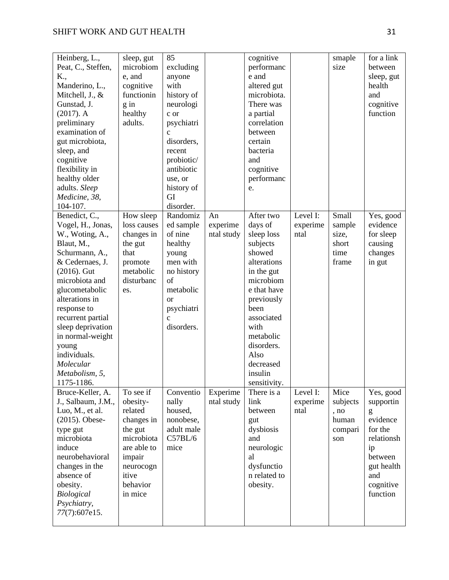| Heinberg, L.,      | sleep, gut  | 85            |            | cognitive    |          | smaple   | for a link |
|--------------------|-------------|---------------|------------|--------------|----------|----------|------------|
| Peat, C., Steffen, | microbiom   | excluding     |            | performanc   |          | size     | between    |
| K.,                | e, and      | anyone        |            | e and        |          |          | sleep, gut |
| Manderino, L.,     | cognitive   | with          |            | altered gut  |          |          | health     |
| Mitchell, J., &    | functionin  | history of    |            | microbiota.  |          |          | and        |
| Gunstad, J.        | $g$ in      | neurologi     |            | There was    |          |          | cognitive  |
| $(2017)$ . A       | healthy     | c or          |            | a partial    |          |          | function   |
| preliminary        | adults.     | psychiatri    |            | correlation  |          |          |            |
| examination of     |             | $\mathbf c$   |            | between      |          |          |            |
| gut microbiota,    |             | disorders,    |            | certain      |          |          |            |
| sleep, and         |             | recent        |            | bacteria     |          |          |            |
| cognitive          |             | probiotic/    |            | and          |          |          |            |
| flexibility in     |             | antibiotic    |            | cognitive    |          |          |            |
| healthy older      |             | use, or       |            | performanc   |          |          |            |
| adults. Sleep      |             | history of    |            | e.           |          |          |            |
| Medicine, 38,      |             | GI            |            |              |          |          |            |
| 104-107.           |             | disorder.     |            |              |          |          |            |
| Benedict, C.,      | How sleep   | Randomiz      | An         | After two    | Level I: | Small    | Yes, good  |
| Vogel, H., Jonas,  | loss causes | ed sample     | experime   | days of      | experime | sample   | evidence   |
| W., Woting, A.,    | changes in  | of nine       | ntal study | sleep loss   | ntal     | size,    | for sleep  |
| Blaut, M.,         | the gut     | healthy       |            | subjects     |          | short    | causing    |
| Schurmann, A.,     | that        | young         |            | showed       |          | time     | changes    |
| & Cedernaes, J.    | promote     | men with      |            | alterations  |          | frame    | in gut     |
| $(2016)$ . Gut     | metabolic   | no history    |            | in the gut   |          |          |            |
| microbiota and     | disturbanc  | of            |            | microbiom    |          |          |            |
| glucometabolic     | es.         | metabolic     |            | e that have  |          |          |            |
| alterations in     |             | <sub>or</sub> |            | previously   |          |          |            |
| response to        |             | psychiatri    |            | been         |          |          |            |
| recurrent partial  |             | $\mathbf{C}$  |            | associated   |          |          |            |
| sleep deprivation  |             | disorders.    |            | with         |          |          |            |
| in normal-weight   |             |               |            | metabolic    |          |          |            |
| young              |             |               |            | disorders.   |          |          |            |
| individuals.       |             |               |            | Also         |          |          |            |
| Molecular          |             |               |            | decreased    |          |          |            |
| Metabolism, 5,     |             |               |            | insulin      |          |          |            |
| 1175-1186.         |             |               |            | sensitivity. |          |          |            |
| Bruce-Keller, A.   | To see if   | Conventio     | Experime   | There is a   | Level I: | Mice     | Yes, good  |
| J., Salbaum, J.M., | obesity-    | nally         | ntal study | link         | experime | subjects | supportin  |
| Luo, M., et al.    | related     | housed,       |            | between      | ntal     | , no     | g          |
| $(2015)$ . Obese-  | changes in  | nonobese,     |            | gut          |          | human    | evidence   |
| type gut           | the gut     | adult male    |            | dysbiosis    |          | compari  | for the    |
| microbiota         | microbiota  | C57BL/6       |            | and          |          | son      | relationsh |
| induce             | are able to | mice          |            | neurologic   |          |          | ip         |
| neurobehavioral    | impair      |               |            | al           |          |          | between    |
| changes in the     | neurocogn   |               |            | dysfunctio   |          |          | gut health |
| absence of         | itive       |               |            | n related to |          |          | and        |
| obesity.           | behavior    |               |            | obesity.     |          |          | cognitive  |
| <b>Biological</b>  | in mice     |               |            |              |          |          | function   |
| Psychiatry,        |             |               |            |              |          |          |            |
| 77(7):607e15.      |             |               |            |              |          |          |            |
|                    |             |               |            |              |          |          |            |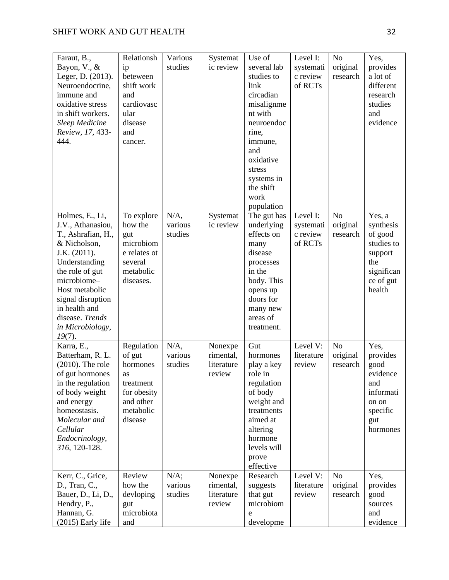| Faraut, B.,<br>Bayon, V., &<br>Leger, D. (2013).<br>Neuroendocrine,<br>immune and<br>oxidative stress<br>in shift workers.<br><b>Sleep Medicine</b><br>Review, 17, 433-<br>444.                                                                           | Relationsh<br>ip<br>beteween<br>shift work<br>and<br>cardiovasc<br>ular<br>disease<br>and<br>cancer.    | Various<br>studies            | Systemat<br>ic review                        | Use of<br>several lab<br>studies to<br>link<br>circadian<br>misalignme<br>nt with<br>neuroendoc<br>rine,<br>immune,<br>and<br>oxidative<br>stress<br>systems in<br>the shift<br>work<br>population | Level I:<br>systemati<br>c review<br>of RCTs | N <sub>o</sub><br>original<br>research | Yes,<br>provides<br>a lot of<br>different<br>research<br>studies<br>and<br>evidence                 |
|-----------------------------------------------------------------------------------------------------------------------------------------------------------------------------------------------------------------------------------------------------------|---------------------------------------------------------------------------------------------------------|-------------------------------|----------------------------------------------|----------------------------------------------------------------------------------------------------------------------------------------------------------------------------------------------------|----------------------------------------------|----------------------------------------|-----------------------------------------------------------------------------------------------------|
| Holmes, E., Li,<br>J.V., Athanasiou,<br>T., Ashrafian, H.,<br>& Nicholson,<br>J.K. (2011).<br>Understanding<br>the role of gut<br>microbiome-<br>Host metabolic<br>signal disruption<br>in health and<br>disease. Trends<br>in Microbiology,<br>$19(7)$ . | To explore<br>how the<br>gut<br>microbiom<br>e relates ot<br>several<br>metabolic<br>diseases.          | $N/A$ ,<br>various<br>studies | Systemat<br>ic review                        | The gut has<br>underlying<br>effects on<br>many<br>disease<br>processes<br>in the<br>body. This<br>opens up<br>doors for<br>many new<br>areas of<br>treatment.                                     | Level I:<br>systemati<br>c review<br>of RCTs | N <sub>o</sub><br>original<br>research | Yes, a<br>synthesis<br>of good<br>studies to<br>support<br>the<br>significan<br>ce of gut<br>health |
| Karra, E.,<br>Batterham, R. L.<br>$(2010)$ . The role<br>of gut hormones<br>in the regulation<br>of body weight<br>and energy<br>homeostasis.<br>Molecular and<br>Cellular<br>Endocrinology,<br>316, 120-128.                                             | Regulation<br>of gut<br>hormones<br>as<br>treatment<br>for obesity<br>and other<br>metabolic<br>disease | $N/A$ ,<br>various<br>studies | Nonexpe<br>rimental,<br>literature<br>review | Gut<br>hormones<br>play a key<br>role in<br>regulation<br>of body<br>weight and<br>treatments<br>aimed at<br>altering<br>hormone<br>levels will<br>prove<br>effective                              | Level V:<br>literature<br>review             | N <sub>o</sub><br>original<br>research | Yes,<br>provides<br>good<br>evidence<br>and<br>informati<br>on on<br>specific<br>gut<br>hormones    |
| Kerr, C., Grice,<br>D., Tran, C.,<br>Bauer, D., Li, D.,<br>Hendry, P.,<br>Hannan, G.<br>(2015) Early life                                                                                                                                                 | Review<br>how the<br>devloping<br>gut<br>microbiota<br>and                                              | $N/A$ ;<br>various<br>studies | Nonexpe<br>rimental,<br>literature<br>review | Research<br>suggests<br>that gut<br>microbiom<br>e<br>developme                                                                                                                                    | Level V:<br>literature<br>review             | N <sub>o</sub><br>original<br>research | Yes,<br>provides<br>good<br>sources<br>and<br>evidence                                              |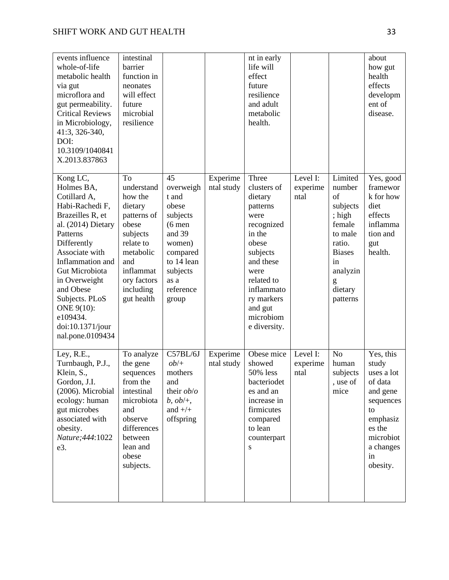| events influence<br>whole-of-life<br>metabolic health<br>via gut<br>microflora and<br>gut permeability.<br><b>Critical Reviews</b><br>in Microbiology,<br>41:3, 326-340,<br>DOI:<br>10.3109/1040841<br>X.2013.837863                                                                                     | intestinal<br>barrier<br>function in<br>neonates<br>will effect<br>future<br>microbial<br>resilience                                                               |                                                                                                                                                   |                        | nt in early<br>life will<br>effect<br>future<br>resilience<br>and adult<br>metabolic<br>health.                                                                                                         |                              |                                                                                                                                             | about<br>how gut<br>health<br>effects<br>developm<br>ent of<br>disease.                                                                      |
|----------------------------------------------------------------------------------------------------------------------------------------------------------------------------------------------------------------------------------------------------------------------------------------------------------|--------------------------------------------------------------------------------------------------------------------------------------------------------------------|---------------------------------------------------------------------------------------------------------------------------------------------------|------------------------|---------------------------------------------------------------------------------------------------------------------------------------------------------------------------------------------------------|------------------------------|---------------------------------------------------------------------------------------------------------------------------------------------|----------------------------------------------------------------------------------------------------------------------------------------------|
| Kong LC,<br>Holmes BA,<br>Cotillard A,<br>Habi-Rachedi F,<br>Brazeilles R, et<br>al. (2014) Dietary<br>Patterns<br>Differently<br>Associate with<br>Inflammation and<br>Gut Microbiota<br>in Overweight<br>and Obese<br>Subjects. PLoS<br>ONE 9(10):<br>e109434.<br>doi:10.1371/jour<br>nal.pone.0109434 | To<br>understand<br>how the<br>dietary<br>patterns of<br>obese<br>subjects<br>relate to<br>metabolic<br>and<br>inflammat<br>ory factors<br>including<br>gut health | 45<br>overweigh<br>t and<br>obese<br>subjects<br>$(6$ men<br>and 39<br>women)<br>compared<br>to 14 lean<br>subjects<br>as a<br>reference<br>group | Experime<br>ntal study | Three<br>clusters of<br>dietary<br>patterns<br>were<br>recognized<br>in the<br>obese<br>subjects<br>and these<br>were<br>related to<br>inflammato<br>ry markers<br>and gut<br>microbiom<br>e diversity. | Level I:<br>experime<br>ntal | Limited<br>number<br>of<br>subjects<br>; high<br>female<br>to male<br>ratio.<br><b>Biases</b><br>in<br>analyzin<br>g<br>dietary<br>patterns | Yes, good<br>framewor<br>k for how<br>diet<br>effects<br>inflamma<br>tion and<br>gut<br>health.                                              |
| Ley, R.E.,<br>Turnbaugh, P.J.,<br>Klein, S.,<br>Gordon, J.I.<br>(2006). Microbial<br>ecology: human<br>gut microbes<br>associated with<br>obesity.<br>Nature; 444: 1022<br>e3.                                                                                                                           | To analyze<br>the gene<br>sequences<br>from the<br>intestinal<br>microbiota<br>and<br>observe<br>differences<br>between<br>lean and<br>obese<br>subjects.          | C57BL/6J<br>$ob/+$<br>mothers<br>and<br>their <i>ob/o</i><br>$b, ob/+,$<br>and $+/+$<br>offspring                                                 | Experime<br>ntal study | Obese mice<br>showed<br>50% less<br>bacteriodet<br>es and an<br>increase in<br>firmicutes<br>compared<br>to lean<br>counterpart<br>S                                                                    | Level I:<br>experime<br>ntal | N <sub>o</sub><br>human<br>subjects<br>, use of $\,$<br>mice                                                                                | Yes, this<br>study<br>uses a lot<br>of data<br>and gene<br>sequences<br>to<br>emphasiz<br>es the<br>microbiot<br>a changes<br>in<br>obesity. |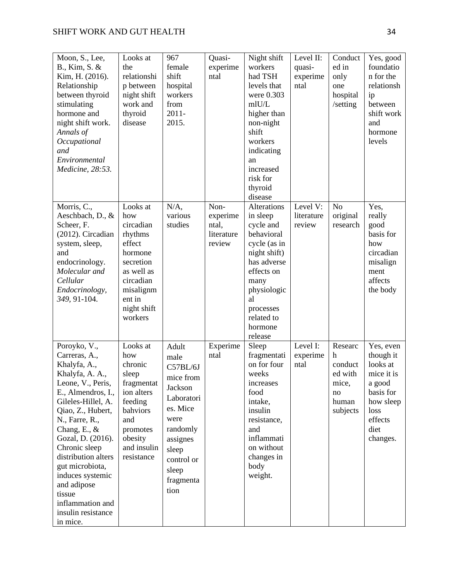| Moon, S., Lee,<br>B., Kim, S. &<br>Kim, H. (2016).<br>Relationship<br>between thyroid<br>stimulating<br>hormone and<br>night shift work.<br>Annals of<br>Occupational<br>and<br>Environmental<br>Medicine, 28:53.                                                                                                                                                             | Looks at<br>the<br>relationshi<br>p between<br>night shift<br>work and<br>thyroid<br>disease                                                          | 967<br>female<br>shift<br>hospital<br>workers<br>from<br>$2011 -$<br>2015.                                                                                       | Quasi-<br>experime<br>ntal                        | Night shift<br>workers<br>had TSH<br>levels that<br>were 0.303<br>mlU/L<br>higher than<br>non-night<br>shift<br>workers<br>indicating<br>an<br>increased<br>risk for<br>thyroid<br>disease    | Level II:<br>quasi-<br>experime<br>ntal | Conduct<br>ed in<br>only<br>one<br>hospital<br>/setting                | Yes, good<br>foundatio<br>n for the<br>relationsh<br>ip<br>between<br>shift work<br>and<br>hormone<br>levels                |
|-------------------------------------------------------------------------------------------------------------------------------------------------------------------------------------------------------------------------------------------------------------------------------------------------------------------------------------------------------------------------------|-------------------------------------------------------------------------------------------------------------------------------------------------------|------------------------------------------------------------------------------------------------------------------------------------------------------------------|---------------------------------------------------|-----------------------------------------------------------------------------------------------------------------------------------------------------------------------------------------------|-----------------------------------------|------------------------------------------------------------------------|-----------------------------------------------------------------------------------------------------------------------------|
| Morris, C.,<br>Aeschbach, D., &<br>Scheer, F.<br>(2012). Circadian<br>system, sleep,<br>and<br>endocrinology.<br>Molecular and<br>Cellular<br>Endocrinology,<br>349, 91-104.                                                                                                                                                                                                  | Looks at<br>how<br>circadian<br>rhythms<br>effect<br>hormone<br>secretion<br>as well as<br>circadian<br>misalignm<br>ent in<br>night shift<br>workers | $N/A$ ,<br>various<br>studies                                                                                                                                    | Non-<br>experime<br>ntal,<br>literature<br>review | Alterations<br>in sleep<br>cycle and<br>behavioral<br>cycle (as in<br>night shift)<br>has adverse<br>effects on<br>many<br>physiologic<br>al<br>processes<br>related to<br>hormone<br>release | Level V:<br>literature<br>review        | N <sub>o</sub><br>original<br>research                                 | Yes,<br>really<br>good<br>basis for<br>how<br>circadian<br>misalign<br>ment<br>affects<br>the body                          |
| Poroyko, V.,<br>Carreras, A.,<br>Khalyfa, A.,<br>Khalyfa, A. A.,<br>Leone, V., Peris,<br>E., Almendros, I.,<br>Gileles-Hillel, A.<br>Qiao, Z., Hubert,<br>N., Farre, R.,<br>Chang, E., $&$<br>Gozal, D. (2016).<br>Chronic sleep<br>distribution alters<br>gut microbiota,<br>induces systemic<br>and adipose<br>tissue<br>inflammation and<br>insulin resistance<br>in mice. | Looks at<br>how<br>chronic<br>sleep<br>fragmentat<br>ion alters<br>feeding<br>bahviors<br>and<br>promotes<br>obesity<br>and insulin<br>resistance     | Adult<br>male<br>C57BL/6J<br>mice from<br>Jackson<br>Laboratori<br>es. Mice<br>were<br>randomly<br>assignes<br>sleep<br>control or<br>sleep<br>fragmenta<br>tion | Experime<br>ntal                                  | Sleep<br>fragmentati<br>on for four<br>weeks<br><i>ncreases</i><br>food<br>intake,<br>insulin<br>resistance,<br>and<br>inflammati<br>on without<br>changes in<br>body<br>weight.              | Level I:<br>experime<br>ntal            | Researc<br>h<br>conduct<br>ed with<br>mice,<br>no<br>human<br>subjects | Yes, even<br>though it<br>looks at<br>mice it is<br>a good<br>basis for<br>how sleep<br>loss<br>effects<br>diet<br>changes. |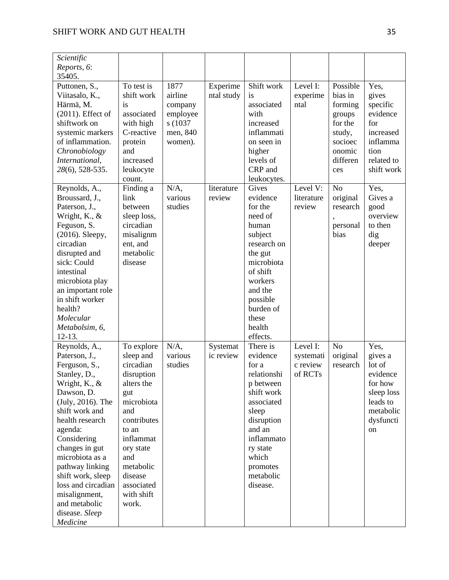| Scientific<br>Reports, 6:      |                          |          |            |                      |            |                  |                |
|--------------------------------|--------------------------|----------|------------|----------------------|------------|------------------|----------------|
| 35405.<br>Puttonen, S.,        | To test is               | 1877     | Experime   | Shift work           | Level I:   | Possible         | Yes,           |
| Viitasalo, K.,                 | shift work               | airline  | ntal study | is                   | experime   | bias in          | gives          |
| Härmä, M.                      | is                       | company  |            | associated           | ntal       | forming          | specific       |
| $(2011)$ . Effect of           | associated               | employee |            | with                 |            | groups           | evidence       |
| shiftwork on                   | with high                | s (1037) |            | increased            |            | for the          | for            |
| systemic markers               | C-reactive               | men, 840 |            | inflammati           |            | study,           | increased      |
| of inflammation.               | protein                  | women).  |            | on seen in           |            | socioec          | inflamma       |
| Chronobiology                  | and                      |          |            | higher               |            | onomic           | tion           |
| International,                 | increased                |          |            | levels of            |            | differen         | related to     |
| 28(6), 528-535.                | leukocyte                |          |            | CRP and              |            | ces              | shift work     |
|                                | count.                   |          |            | leukocytes.          |            |                  |                |
| Reynolds, A.,                  | Finding a                | $N/A$ ,  | literature | Gives                | Level V:   | N <sub>o</sub>   | Yes,           |
| Broussard, J.,                 | link                     | various  | review     | evidence             | literature | original         | Gives a        |
| Paterson, J.,                  | between                  | studies  |            | for the              | review     | research         | good           |
| Wright, K., &                  | sleep loss,<br>circadian |          |            | need of              |            |                  | overview       |
| Feguson, S.<br>(2016). Sleepy, | misalignm                |          |            | human<br>subject     |            | personal<br>bias | to then<br>dig |
| circadian                      | ent, and                 |          |            | research on          |            |                  | deeper         |
| disrupted and                  | metabolic                |          |            | the gut              |            |                  |                |
| sick: Could                    | disease                  |          |            | microbiota           |            |                  |                |
| intestinal                     |                          |          |            | of shift             |            |                  |                |
| microbiota play                |                          |          |            | workers              |            |                  |                |
| an important role              |                          |          |            | and the              |            |                  |                |
| in shift worker                |                          |          |            | possible             |            |                  |                |
| health?                        |                          |          |            | burden of            |            |                  |                |
| Molecular                      |                          |          |            | these                |            |                  |                |
| Metabolsim, 6,                 |                          |          |            | health               |            |                  |                |
| $12-13.$                       |                          |          |            | effects.             |            |                  |                |
| Reynolds, A.,                  | To explore               | $N/A$ ,  | Systemat   | There is             | Level I:   | N <sub>o</sub>   | Yes,           |
| Paterson, J.,                  | sleep and                | various  | ic review  | evidence             | systemati  | original         | gives a        |
| Ferguson, S.,                  | circadian                | studies  |            | for a                | c review   | research         | lot of         |
| Stanley, D.,                   | disruption               |          |            | relationshi          | of RCTs    |                  | evidence       |
| Wright, K., &                  | alters the               |          |            | p between            |            |                  | for how        |
| Dawson, D.                     | gut                      |          |            | shift work           |            |                  | sleep loss     |
| (July, 2016). The              | microbiota               |          |            | associated           |            |                  | leads to       |
| shift work and                 | and                      |          |            | sleep                |            |                  | metabolic      |
| health research                | contributes              |          |            | disruption<br>and an |            |                  | dysfuncti      |
| agenda:<br>Considering         | to an<br>inflammat       |          |            | inflammato           |            |                  | on             |
| changes in gut                 | ory state                |          |            | ry state             |            |                  |                |
| microbiota as a                | and                      |          |            | which                |            |                  |                |
| pathway linking                | metabolic                |          |            | promotes             |            |                  |                |
| shift work, sleep              | disease                  |          |            | metabolic            |            |                  |                |
| loss and circadian             | associated               |          |            | disease.             |            |                  |                |
| misalignment,                  | with shift               |          |            |                      |            |                  |                |
| and metabolic                  | work.                    |          |            |                      |            |                  |                |
| disease. Sleep                 |                          |          |            |                      |            |                  |                |
| Medicine                       |                          |          |            |                      |            |                  |                |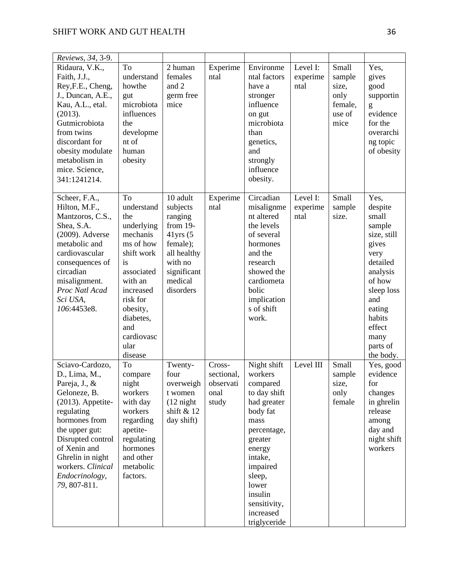| Reviews, 34, 3-9.                                                                                                                                                                                                                                          |                                                                                                                                                                                                       |                                                                                                                                             |                                                    |                                                                                                                                                                                                                             |                              |                                                               |                                                                                                                                                                                          |
|------------------------------------------------------------------------------------------------------------------------------------------------------------------------------------------------------------------------------------------------------------|-------------------------------------------------------------------------------------------------------------------------------------------------------------------------------------------------------|---------------------------------------------------------------------------------------------------------------------------------------------|----------------------------------------------------|-----------------------------------------------------------------------------------------------------------------------------------------------------------------------------------------------------------------------------|------------------------------|---------------------------------------------------------------|------------------------------------------------------------------------------------------------------------------------------------------------------------------------------------------|
| Ridaura, V.K.,<br>Faith, J.J.,<br>Rey, F.E., Cheng,<br>J., Duncan, A.E.,<br>Kau, A.L., etal.<br>(2013).<br>Gutmicrobiota<br>from twins<br>discordant for<br>obesity modulate<br>metabolism in<br>mice. Science,<br>341:1241214.                            | To<br>understand<br>howthe<br>gut<br>microbiota<br>influences<br>the<br>developme<br>nt of<br>human<br>obesity                                                                                        | 2 human<br>females<br>and 2<br>germ free<br>mice                                                                                            | Experime<br>ntal                                   | Environme<br>ntal factors<br>have a<br>stronger<br>influence<br>on gut<br>microbiota<br>than<br>genetics,<br>and<br>strongly<br>influence<br>obesity.                                                                       | Level I:<br>experime<br>ntal | Small<br>sample<br>size,<br>only<br>female,<br>use of<br>mice | Yes,<br>gives<br>good<br>supportin<br>g<br>evidence<br>for the<br>overarchi<br>ng topic<br>of obesity                                                                                    |
| Scheer, F.A.,<br>Hilton, M.F.,<br>Mantzoros, C.S.,<br>Shea, S.A.<br>(2009). Adverse<br>metabolic and<br>cardiovascular<br>consequences of<br>circadian<br>misalignment.<br>Proc Natl Acad<br>Sci USA,<br>106:4453e8.                                       | To<br>understand<br>the<br>underlying<br>mechanis<br>ms of how<br>shift work<br>is<br>associated<br>with an<br>increased<br>risk for<br>obesity,<br>diabetes,<br>and<br>cardiovasc<br>ular<br>disease | 10 adult<br>subjects<br>ranging<br>from $19-$<br>$41$ yrs $(5$<br>female);<br>all healthy<br>with no<br>significant<br>medical<br>disorders | Experime<br>ntal                                   | Circadian<br>misalignme<br>nt altered<br>the levels<br>of several<br>hormones<br>and the<br>research<br>showed the<br>cardiometa<br>bolic<br>implication<br>s of shift<br>work.                                             | Level I:<br>experime<br>ntal | Small<br>sample<br>size.                                      | Yes,<br>despite<br>small<br>sample<br>size, still<br>gives<br>very<br>detailed<br>analysis<br>of how<br>sleep loss<br>and<br>eating<br>habits<br>effect<br>many<br>parts of<br>the body. |
| Sciavo-Cardozo,<br>D., Lima, M.,<br>Pareja, J., &<br>Geloneze, B.<br>$(2013)$ . Appetite-<br>regulating<br>hormones from<br>the upper gut:<br>Disrupted control<br>of Xenin and<br>Ghrelin in night<br>workers. Clinical<br>Endocrinology,<br>79, 807-811. | To<br>compare<br>night<br>workers<br>with day<br>workers<br>regarding<br>apetite-<br>regulating<br>hormones<br>and other<br>metabolic<br>factors.                                                     | Twenty-<br>four<br>overweigh<br>t women<br>$(12 \text{ night})$<br>shift $& 12$<br>day shift)                                               | Cross-<br>sectional,<br>observati<br>onal<br>study | Night shift<br>workers<br>compared<br>to day shift<br>had greater<br>body fat<br>mass<br>percentage,<br>greater<br>energy<br>intake,<br>impaired<br>sleep,<br>lower<br>insulin<br>sensitivity,<br>increased<br>triglyceride | Level III                    | Small<br>sample<br>size,<br>only<br>female                    | Yes, good<br>evidence<br>for<br>changes<br>in ghrelin<br>release<br>among<br>day and<br>night shift<br>workers                                                                           |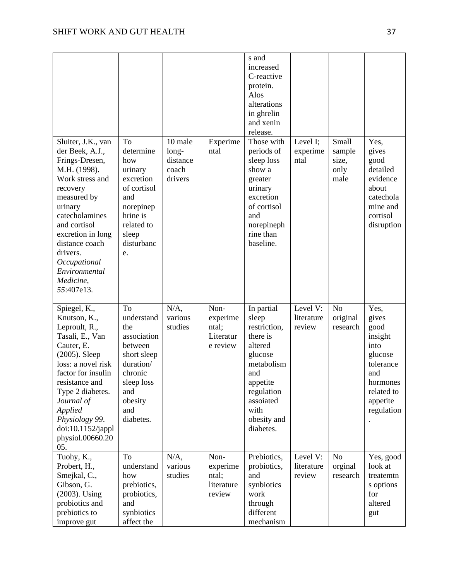|                                                                                                                                                                                                                                                                                        |                                                                                                                                              |                                                  |                                                    | s and<br>increased<br>C-reactive<br>protein.<br>Alos<br>alterations<br>in ghrelin<br>and xenin<br>release.                                                            |                                  |                                          |                                                                                                                             |
|----------------------------------------------------------------------------------------------------------------------------------------------------------------------------------------------------------------------------------------------------------------------------------------|----------------------------------------------------------------------------------------------------------------------------------------------|--------------------------------------------------|----------------------------------------------------|-----------------------------------------------------------------------------------------------------------------------------------------------------------------------|----------------------------------|------------------------------------------|-----------------------------------------------------------------------------------------------------------------------------|
| Sluiter, J.K., van<br>der Beek, A.J.,<br>Frings-Dresen,<br>M.H. (1998).<br>Work stress and<br>recovery<br>measured by<br>urinary<br>catecholamines<br>and cortisol<br>excretion in long<br>distance coach<br>drivers.<br>Occupational<br>Environmental<br>Medicine,<br>55:407e13.      | To<br>determine<br>how<br>urinary<br>excretion<br>of cortisol<br>and<br>norepinep<br>hrine is<br>related to<br>sleep<br>disturbanc<br>e.     | 10 male<br>long-<br>distance<br>coach<br>drivers | Experime<br>ntal                                   | Those with<br>periods of<br>sleep loss<br>show a<br>greater<br>urinary<br>excretion<br>of cortisol<br>and<br>norepineph<br>rine than<br>baseline.                     | Level I;<br>experime<br>ntal     | Small<br>sample<br>size,<br>only<br>male | Yes,<br>gives<br>good<br>detailed<br>evidence<br>about<br>catechola<br>mine and<br>cortisol<br>disruption                   |
| Spiegel, K.,<br>Knutson, K.,<br>Leproult, R.,<br>Tasali, E., Van<br>Cauter, E.<br>$(2005)$ . Sleep<br>loss: a novel risk<br>factor for insulin<br>resistance and<br>Type 2 diabetes.<br>Journal of<br><b>Applied</b><br>Physiology 99.<br>doi:10.1152/jappl<br>physiol.00660.20<br>05. | To<br>understand<br>the<br>association<br>between<br>short sleep<br>duration/<br>chronic<br>sleep loss<br>and<br>obesity<br>and<br>diabetes. | $N/A$ ,<br>various<br>studies                    | Non-<br>experime<br>ntal;<br>Literatur<br>e review | In partial<br>sleep<br>restriction,<br>there is<br>altered<br>glucose<br>metabolism<br>and<br>appetite<br>regulation<br>assoiated<br>with<br>obesity and<br>diabetes. | Level V:<br>literature<br>review | N <sub>o</sub><br>original<br>research   | Yes,<br>gives<br>good<br>insight<br>into<br>glucose<br>tolerance<br>and<br>hormones<br>related to<br>appetite<br>regulation |
| Tuohy, K.,<br>Probert, H.,<br>Smejkal, C.,<br>Gibson, G.<br>(2003). Using<br>probiotics and<br>prebiotics to<br>improve gut                                                                                                                                                            | To<br>understand<br>how<br>prebiotics,<br>probiotics,<br>and<br>synbiotics<br>affect the                                                     | $N/A$ ,<br>various<br>studies                    | Non-<br>experime<br>ntal;<br>literature<br>review  | Prebiotics,<br>probiotics,<br>and<br>synbiotics<br>work<br>through<br>different<br>mechanism                                                                          | Level V:<br>literature<br>review | N <sub>o</sub><br>orginal<br>research    | Yes, good<br>look at<br>treatemtn<br>s options<br>for<br>altered<br>gut                                                     |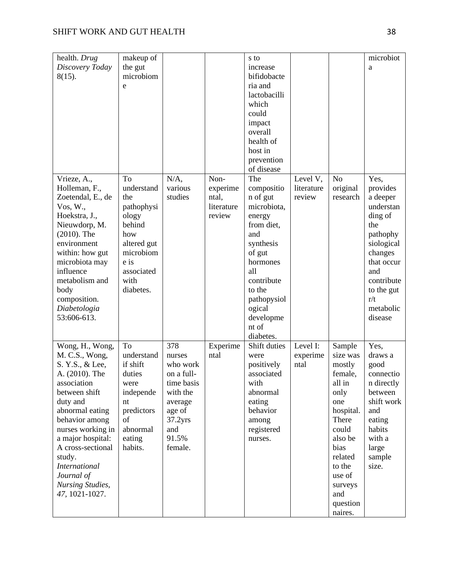| health. Drug<br>Discovery Today<br>$8(15)$ .                                                                                                                                                                                                                                                                        | makeup of<br>the gut<br>microbiom<br>e                                                                                                 |                                                                                                                                          |                                                   | s to<br>increase<br>bifidobacte<br>ria and<br>lactobacilli<br>which<br>could<br>impact<br>overall<br>health of<br>host in<br>prevention<br>of disease                                                     |                                  |                                                                                                                                                                                            | microbiot<br>a                                                                                                                                                                   |
|---------------------------------------------------------------------------------------------------------------------------------------------------------------------------------------------------------------------------------------------------------------------------------------------------------------------|----------------------------------------------------------------------------------------------------------------------------------------|------------------------------------------------------------------------------------------------------------------------------------------|---------------------------------------------------|-----------------------------------------------------------------------------------------------------------------------------------------------------------------------------------------------------------|----------------------------------|--------------------------------------------------------------------------------------------------------------------------------------------------------------------------------------------|----------------------------------------------------------------------------------------------------------------------------------------------------------------------------------|
| Vrieze, A.,<br>Holleman, F.,<br>Zoetendal, E., de<br>Vos, W.,<br>Hoekstra, J.,<br>Nieuwdorp, M.<br>$(2010)$ . The<br>environment<br>within: how gut<br>microbiota may<br>influence<br>metabolism and<br>body<br>composition.<br>Diabetologia<br>53:606-613.                                                         | To<br>understand<br>the<br>pathophysi<br>ology<br>behind<br>how<br>altered gut<br>microbiom<br>e is<br>associated<br>with<br>diabetes. | $N/A$ ,<br>various<br>studies                                                                                                            | Non-<br>experime<br>ntal,<br>literature<br>review | The<br>compositio<br>n of gut<br>microbiota,<br>energy<br>from diet,<br>and<br>synthesis<br>of gut<br>hormones<br>all<br>contribute<br>to the<br>pathopysiol<br>ogical<br>developme<br>nt of<br>diabetes. | Level V,<br>literature<br>review | No<br>original<br>research                                                                                                                                                                 | Yes,<br>provides<br>a deeper<br>understan<br>ding of<br>the<br>pathophy<br>siological<br>changes<br>that occur<br>and<br>contribute<br>to the gut<br>r/t<br>metabolic<br>disease |
| Wong, H., Wong,<br>M. C.S., Wong,<br>S. Y.S., & Lee,<br>A. (2010). The<br>association<br>between shift<br>duty and<br>abnormal eating<br>behavior among<br>nurses working in<br>a major hospital:<br>A cross-sectional<br>study.<br><b>International</b><br>Journal of<br><b>Nursing Studies,</b><br>47, 1021-1027. | To<br>understand<br>if shift<br>duties<br>were<br>independe<br>nt<br>predictors<br>of<br>abnormal<br>eating<br>habits.                 | 378<br>nurses<br>who work<br>on a full-<br>time basis<br>with the<br>average<br>age of<br>37.2 <sub>yrs</sub><br>and<br>91.5%<br>female. | Experime<br>ntal                                  | Shift duties<br>were<br>positively<br>associated<br>with<br>abnormal<br>eating<br>behavior<br>among<br>registered<br>nurses.                                                                              | Level I:<br>experime<br>ntal     | Sample<br>size was<br>mostly<br>female,<br>all in<br>only<br>one<br>hospital.<br>There<br>could<br>also be<br>bias<br>related<br>to the<br>use of<br>surveys<br>and<br>question<br>naires. | Yes,<br>draws a<br>good<br>connectio<br>n directly<br>between<br>shift work<br>and<br>eating<br>habits<br>with a<br>large<br>sample<br>size.                                     |